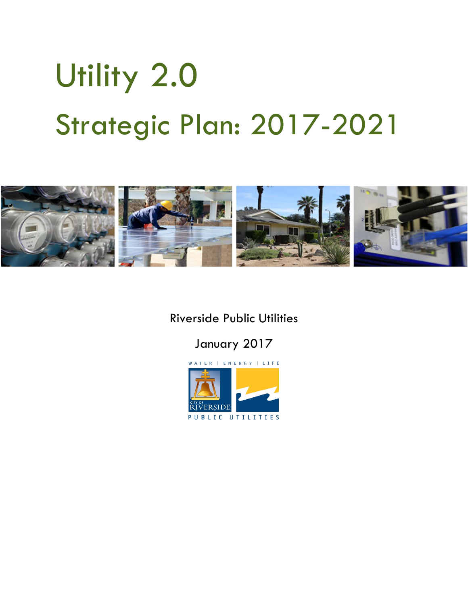# Utility 2.0 Strategic Plan: 2017-2021



Riverside Public Utilities

January 2017

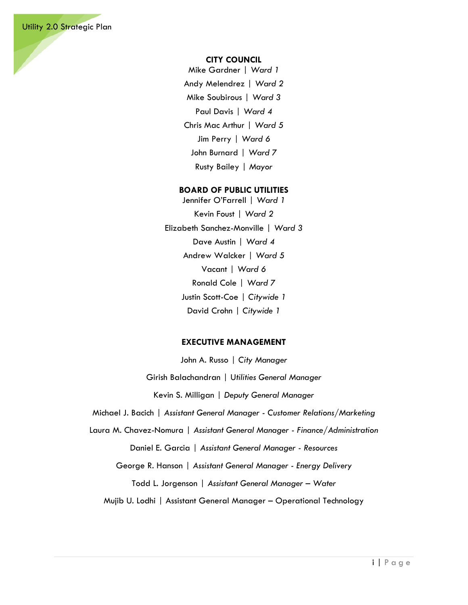#### **CITY COUNCIL**

Mike Gardner | *Ward 1* Andy Melendrez | *Ward 2* Mike Soubirous | *Ward 3* Paul Davis | *Ward 4* Chris Mac Arthur | *Ward 5* Jim Perry | *Ward 6* John Burnard | *Ward 7* Rusty Bailey | *Mayor*

#### **BOARD OF PUBLIC UTILITIES**

Jennifer O'Farrell | *Ward 1* Kevin Foust | *Ward 2* Elizabeth Sanchez-Monville | *Ward 3* Dave Austin | *Ward 4* Andrew Walcker | *Ward 5* Vacant | *Ward 6* Ronald Cole | *Ward 7* Justin Scott-Coe | *Citywide 1* David Crohn | *Citywide 1*

#### **EXECUTIVE MANAGEMENT**

John A. Russo | *City Manager*

Girish Balachandran | U*tilities General Manager*

Kevin S. Milligan | *Deputy General Manager*

Michael J. Bacich | *Assistant General Manager - Customer Relations/Marketing*

Laura M. Chavez-Nomura | *Assistant General Manager - Finance/Administration*

Daniel E. Garcia | *Assistant General Manager - Resources*

George R. Hanson | *Assistant General Manager - Energy Delivery*

Todd L. Jorgenson | *Assistant General Manager – Water*

Mujib U. Lodhi | Assistant General Manager – Operational Technology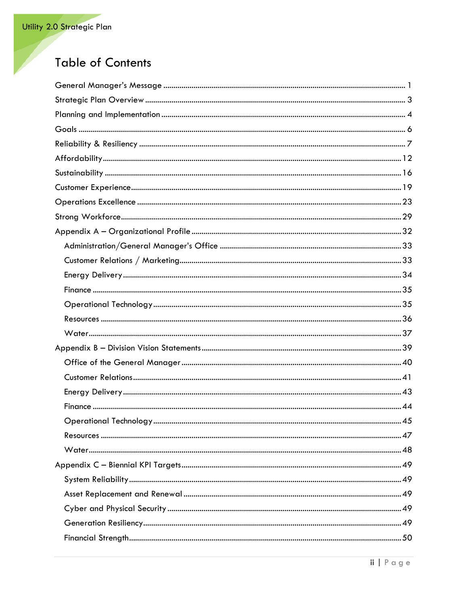# **Table of Contents**

| Operational Technology<br>45 |
|------------------------------|
|                              |
|                              |
|                              |
|                              |
|                              |
|                              |
|                              |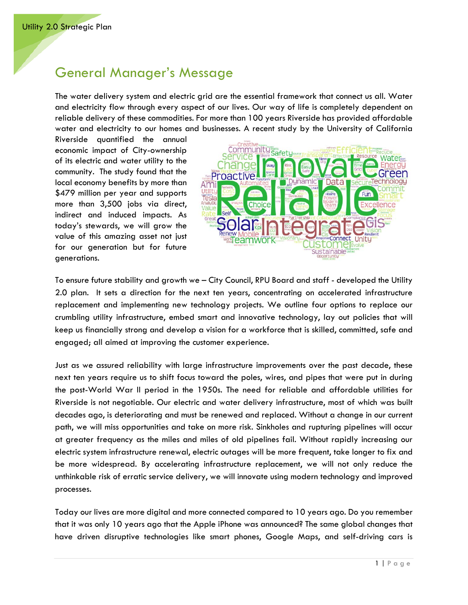# <span id="page-4-0"></span>General Manager's Message

The water delivery system and electric grid are the essential framework that connect us all. Water and electricity flow through every aspect of our lives. Our way of life is completely dependent on reliable delivery of these commodities. For more than 100 years Riverside has provided affordable water and electricity to our homes and businesses. A recent study by the University of California

Riverside quantified the annual economic impact of City-ownership of its electric and water utility to the community. The study found that the local economy benefits by more than \$479 million per year and supports more than 3,500 jobs via direct, indirect and induced impacts. As today's stewards, we will grow the value of this amazing asset not just for our generation but for future generations.



To ensure future stability and growth we – City Council, RPU Board and staff - developed the Utility 2.0 plan. It sets a direction for the next ten years, concentrating on accelerated infrastructure replacement and implementing new technology projects. We outline four options to replace our crumbling utility infrastructure, embed smart and innovative technology, lay out policies that will keep us financially strong and develop a vision for a workforce that is skilled, committed, safe and engaged; all aimed at improving the customer experience.

Just as we assured reliability with large infrastructure improvements over the past decade, these next ten years require us to shift focus toward the poles, wires, and pipes that were put in during the post-World War II period in the 1950s. The need for reliable and affordable utilities for Riverside is not negotiable. Our electric and water delivery infrastructure, most of which was built decades ago, is deteriorating and must be renewed and replaced. Without a change in our current path, we will miss opportunities and take on more risk. Sinkholes and rupturing pipelines will occur at greater frequency as the miles and miles of old pipelines fail. Without rapidly increasing our electric system infrastructure renewal, electric outages will be more frequent, take longer to fix and be more widespread. By accelerating infrastructure replacement, we will not only reduce the unthinkable risk of erratic service delivery, we will innovate using modern technology and improved processes.

Today our lives are more digital and more connected compared to 10 years ago. Do you remember that it was only 10 years ago that the Apple iPhone was announced? The same global changes that have driven disruptive technologies like smart phones, Google Maps, and self-driving cars is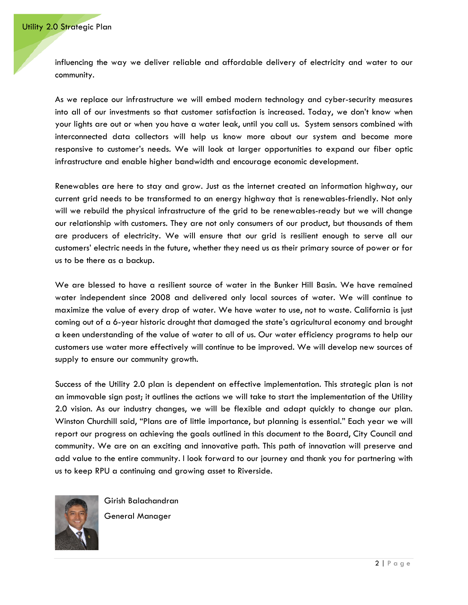influencing the way we deliver reliable and affordable delivery of electricity and water to our community.

As we replace our infrastructure we will embed modern technology and cyber-security measures into all of our investments so that customer satisfaction is increased. Today, we don't know when your lights are out or when you have a water leak, until you call us. System sensors combined with interconnected data collectors will help us know more about our system and become more responsive to customer's needs. We will look at larger opportunities to expand our fiber optic infrastructure and enable higher bandwidth and encourage economic development.

Renewables are here to stay and grow. Just as the internet created an information highway, our current grid needs to be transformed to an energy highway that is renewables-friendly. Not only will we rebuild the physical infrastructure of the grid to be renewables-ready but we will change our relationship with customers. They are not only consumers of our product, but thousands of them are producers of electricity. We will ensure that our grid is resilient enough to serve all our customers' electric needs in the future, whether they need us as their primary source of power or for us to be there as a backup.

We are blessed to have a resilient source of water in the Bunker Hill Basin. We have remained water independent since 2008 and delivered only local sources of water. We will continue to maximize the value of every drop of water. We have water to use, not to waste. California is just coming out of a 6-year historic drought that damaged the state's agricultural economy and brought a keen understanding of the value of water to all of us. Our water efficiency programs to help our customers use water more effectively will continue to be improved. We will develop new sources of supply to ensure our community growth.

Success of the Utility 2.0 plan is dependent on effective implementation. This strategic plan is not an immovable sign post; it outlines the actions we will take to start the implementation of the Utility 2.0 vision. As our industry changes, we will be flexible and adapt quickly to change our plan. Winston Churchill said, "Plans are of little importance, but planning is essential." Each year we will report our progress on achieving the goals outlined in this document to the Board, City Council and community. We are on an exciting and innovative path. This path of innovation will preserve and add value to the entire community. I look forward to our journey and thank you for partnering with us to keep RPU a continuing and growing asset to Riverside.



Girish Balachandran General Manager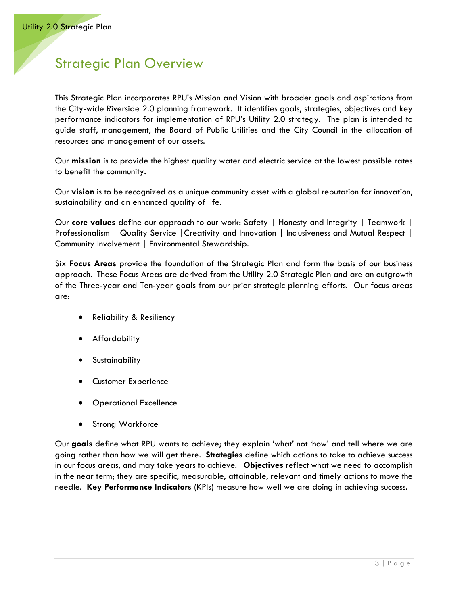# <span id="page-6-0"></span>Strategic Plan Overview

This Strategic Plan incorporates RPU's Mission and Vision with broader goals and aspirations from the City-wide Riverside 2.0 planning framework. It identifies goals, strategies, objectives and key performance indicators for implementation of RPU's Utility 2.0 strategy. The plan is intended to guide staff, management, the Board of Public Utilities and the City Council in the allocation of resources and management of our assets.

Our **mission** is to provide the highest quality water and electric service at the lowest possible rates to benefit the community.

Our **vision** is to be recognized as a unique community asset with a global reputation for innovation, sustainability and an enhanced quality of life.

Our **core values** define our approach to our work: Safety | Honesty and Integrity | Teamwork | Professionalism | Quality Service |Creativity and Innovation | Inclusiveness and Mutual Respect | Community Involvement | Environmental Stewardship.

Six **Focus Areas** provide the foundation of the Strategic Plan and form the basis of our business approach. These Focus Areas are derived from the Utility 2.0 Strategic Plan and are an outgrowth of the Three-year and Ten-year goals from our prior strategic planning efforts. Our focus areas are:

- Reliability & Resiliency
- Affordability
- **Sustainability**
- Customer Experience
- Operational Excellence
- Strong Workforce

Our **goals** define what RPU wants to achieve; they explain 'what' not 'how' and tell where we are going rather than how we will get there. **Strategies** define which actions to take to achieve success in our focus areas, and may take years to achieve. **Objectives** reflect what we need to accomplish in the near term; they are specific, measurable, attainable, relevant and timely actions to move the needle. **Key Performance Indicators** (KPIs) measure how well we are doing in achieving success.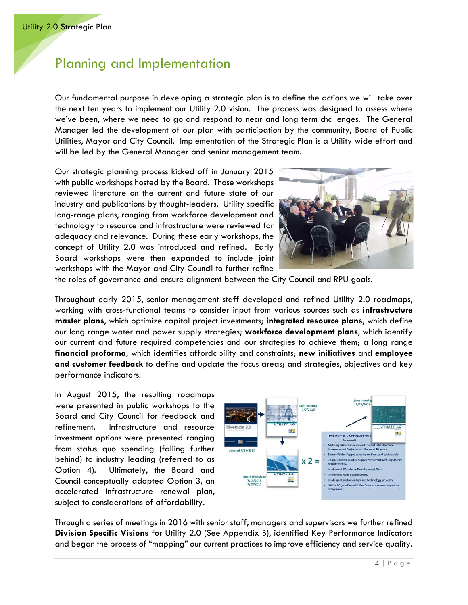# <span id="page-7-0"></span>Planning and Implementation

Our fundamental purpose in developing a strategic plan is to define the actions we will take over the next ten years to implement our Utility 2.0 vision. The process was designed to assess where we've been, where we need to go and respond to near and long term challenges. The General Manager led the development of our plan with participation by the community, Board of Public Utilities, Mayor and City Council. Implementation of the Strategic Plan is a Utility wide effort and will be led by the General Manager and senior management team.

Our strategic planning process kicked off in January 2015 with public workshops hosted by the Board. Those workshops reviewed literature on the current and future state of our industry and publications by thought-leaders. Utility specific long-range plans, ranging from workforce development and technology to resource and infrastructure were reviewed for adequacy and relevance. During these early workshops, the concept of Utility 2.0 was introduced and refined. Early Board workshops were then expanded to include joint workshops with the Mayor and City Council to further refine



the roles of governance and ensure alignment between the City Council and RPU goals.

Throughout early 2015, senior management staff developed and refined Utility 2.0 roadmaps, working with cross-functional teams to consider input from various sources such as **infrastructure master plans**, which optimize capital project investments; **integrated resource plans**, which define our long range water and power supply strategies; **workforce development plans**, which identify our current and future required competencies and our strategies to achieve them; a long range **financial proforma**, which identifies affordability and constraints; **new initiatives** and **employee and customer feedback** to define and update the focus areas; and strategies, objectives and key performance indicators.

In August 2015, the resulting roadmaps were presented in public workshops to the Board and City Council for feedback and refinement. Infrastructure and resource investment options were presented ranging from status quo spending (falling further behind) to industry leading (referred to as Option 4). Ultimately, the Board and Council conceptually adopted Option 3, an accelerated infrastructure renewal plan, subject to considerations of affordability.



Through a series of meetings in 2016 with senior staff, managers and supervisors we further refined **Division Specific Visions** for Utility 2.0 (See Appendix B), identified Key Performance Indicators and began the process of "mapping" our current practices to improve efficiency and service quality.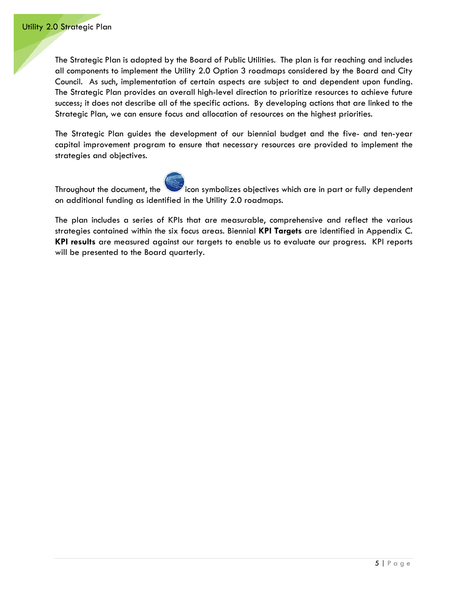The Strategic Plan is adopted by the Board of Public Utilities. The plan is far reaching and includes all components to implement the Utility 2.0 Option 3 roadmaps considered by the Board and City Council. As such, implementation of certain aspects are subject to and dependent upon funding. The Strategic Plan provides an overall high-level direction to prioritize resources to achieve future success; it does not describe all of the specific actions. By developing actions that are linked to the Strategic Plan, we can ensure focus and allocation of resources on the highest priorities.

The Strategic Plan guides the development of our biennial budget and the five- and ten-year capital improvement program to ensure that necessary resources are provided to implement the strategies and objectives.



Throughout the document, the icon symbolizes objectives which are in part or fully dependent on additional funding as identified in the Utility 2.0 roadmaps.

The plan includes a series of KPIs that are measurable, comprehensive and reflect the various strategies contained within the six focus areas. Biennial **KPI Targets** are identified in Appendix C. **KPI results** are measured against our targets to enable us to evaluate our progress. KPI reports will be presented to the Board quarterly.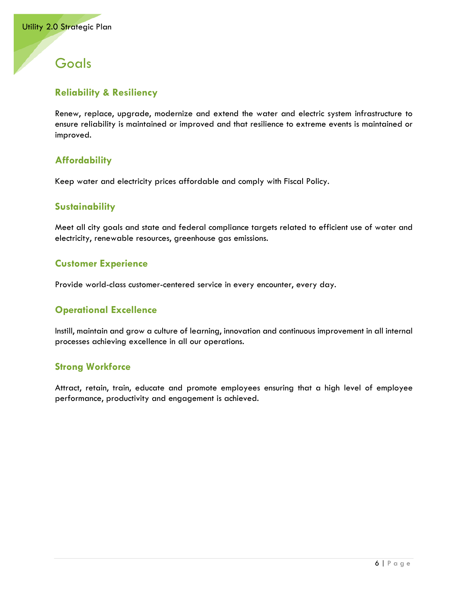# <span id="page-9-0"></span>**Goals**

# **Reliability & Resiliency**

Renew, replace, upgrade, modernize and extend the water and electric system infrastructure to ensure reliability is maintained or improved and that resilience to extreme events is maintained or improved.

# **Affordability**

Keep water and electricity prices affordable and comply with Fiscal Policy.

#### **Sustainability**

Meet all city goals and state and federal compliance targets related to efficient use of water and electricity, renewable resources, greenhouse gas emissions.

#### **Customer Experience**

Provide world-class customer-centered service in every encounter, every day.

#### **Operational Excellence**

Instill, maintain and grow a culture of learning, innovation and continuous improvement in all internal processes achieving excellence in all our operations.

#### **Strong Workforce**

Attract, retain, train, educate and promote employees ensuring that a high level of employee performance, productivity and engagement is achieved.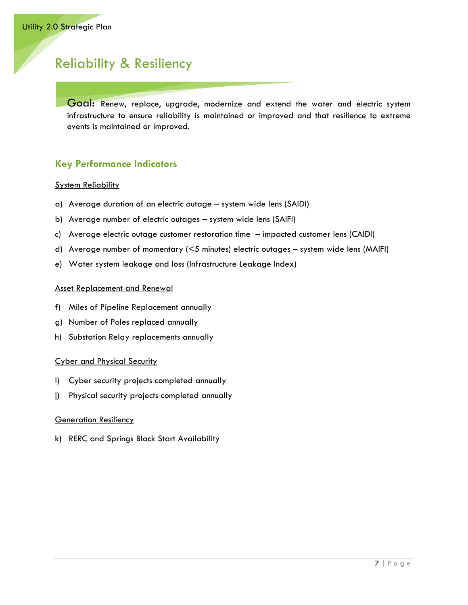# <span id="page-10-0"></span>Reliability & Resiliency

Goal: Renew, replace, upgrade, modernize and extend the water and electric system infrastructure to ensure reliability is maintained or improved and that resilience to extreme events is maintained or improved.

# **Key Performance Indicators**

#### System Reliability

- a) Average duration of an electric outage system wide lens (SAIDI)
- b) Average number of electric outages system wide lens (SAIFI)
- c) Average electric outage customer restoration time impacted customer lens (CAIDI)
- d) Average number of momentary (<5 minutes) electric outages system wide lens (MAIFI)
- e) Water system leakage and loss (Infrastructure Leakage Index)

#### Asset Replacement and Renewal

- f) Miles of Pipeline Replacement annually
- g) Number of Poles replaced annually
- h) Substation Relay replacements annually

#### Cyber and Physical Security

- i) Cyber security projects completed annually
- j) Physical security projects completed annually

#### Generation Resiliency

k) RERC and Springs Black Start Availability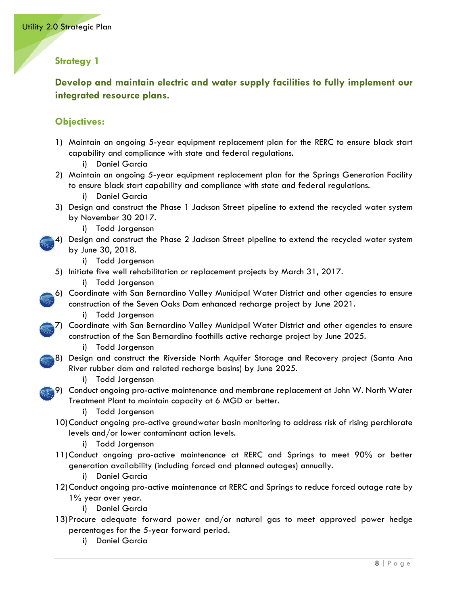**Develop and maintain electric and water supply facilities to fully implement our integrated resource plans.**

- 1) Maintain an ongoing 5-year equipment replacement plan for the RERC to ensure black start capability and compliance with state and federal regulations.
	- i) Daniel Garcia
- 2) Maintain an ongoing 5-year equipment replacement plan for the Springs Generation Facility to ensure black start capability and compliance with state and federal regulations.
	- i) Daniel Garcia
- 3) Design and construct the Phase 1 Jackson Street pipeline to extend the recycled water system by November 30 2017.
	- i) Todd Jorgenson
- 4) Design and construct the Phase 2 Jackson Street pipeline to extend the recycled water system by June 30, 2018.
	- i) Todd Jorgenson
	- 5) Initiate five well rehabilitation or replacement projects by March 31, 2017.
		- i) Todd Jorgenson
- 6) Coordinate with San Bernardino Valley Municipal Water District and other agencies to ensure construction of the Seven Oaks Dam enhanced recharge project by June 2021.
	- i) Todd Jorgenson
- 7) Coordinate with San Bernardino Valley Municipal Water District and other agencies to ensure construction of the San Bernardino foothills active recharge project by June 2025.
	- i) Todd Jorgenson
- 8) Design and construct the Riverside North Aquifer Storage and Recovery project (Santa Ana River rubber dam and related recharge basins) by June 2025.
	- i) Todd Jorgenson
- 9) Conduct ongoing pro-active maintenance and membrane replacement at John W. North Water Treatment Plant to maintain capacity at 6 MGD or better.
	- i) Todd Jorgenson
	- 10)Conduct ongoing pro-active groundwater basin monitoring to address risk of rising perchlorate levels and/or lower contaminant action levels.
		- i) Todd Jorgenson
	- 11)Conduct ongoing pro-active maintenance at RERC and Springs to meet 90% or better generation availability (including forced and planned outages) annually.
		- i) Daniel Garcia
	- 12)Conduct ongoing pro-active maintenance at RERC and Springs to reduce forced outage rate by 1% year over year.
		- i) Daniel Garcia
	- 13) Procure adequate forward power and/or natural gas to meet approved power hedge percentages for the 5-year forward period.
		- i) Daniel Garcia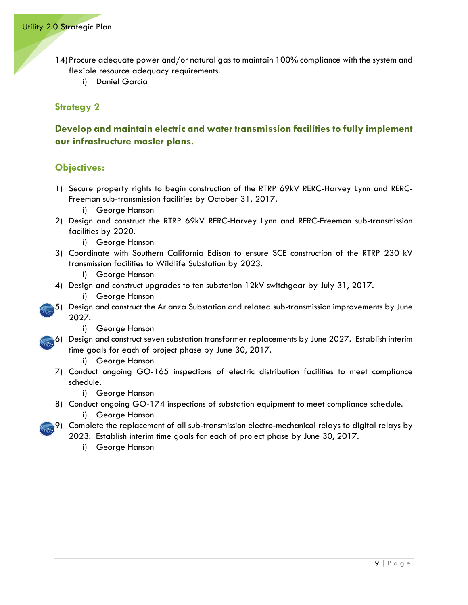- 14) Procure adequate power and/or natural gas to maintain 100% compliance with the system and flexible resource adequacy requirements.
	- i) Daniel Garcia

# **Develop and maintain electric and water transmission facilities to fully implement our infrastructure master plans.**

- 1) Secure property rights to begin construction of the RTRP 69kV RERC-Harvey Lynn and RERC-Freeman sub-transmission facilities by October 31, 2017.
	- i) George Hanson
- 2) Design and construct the RTRP 69kV RERC-Harvey Lynn and RERC-Freeman sub-transmission facilities by 2020.
	- i) George Hanson
- 3) Coordinate with Southern California Edison to ensure SCE construction of the RTRP 230 kV transmission facilities to Wildlife Substation by 2023.
	- i) George Hanson
- 4) Design and construct upgrades to ten substation 12kV switchgear by July 31, 2017.
	- i) George Hanson
- 5) Design and construct the Arlanza Substation and related sub-transmission improvements by June 2027.
	- i) George Hanson
- 6) Design and construct seven substation transformer replacements by June 2027. Establish interim time goals for each of project phase by June 30, 2017.
	- i) George Hanson
	- 7) Conduct ongoing GO-165 inspections of electric distribution facilities to meet compliance schedule.
		- i) George Hanson
	- 8) Conduct ongoing GO-174 inspections of substation equipment to meet compliance schedule. i) George Hanson
	- 9) Complete the replacement of all sub-transmission electro-mechanical relays to digital relays by 2023. Establish interim time goals for each of project phase by June 30, 2017.
		- i) George Hanson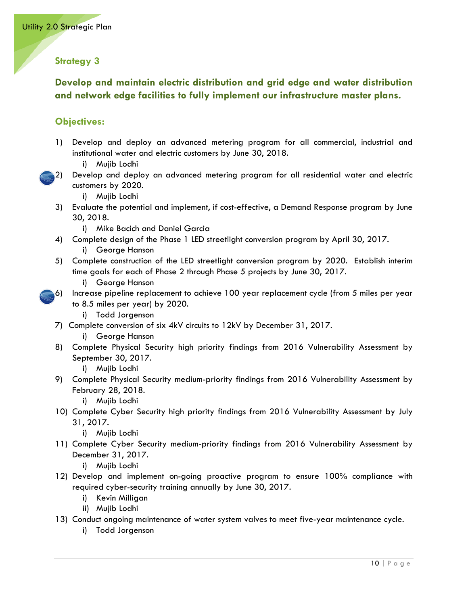# **Develop and maintain electric distribution and grid edge and water distribution and network edge facilities to fully implement our infrastructure master plans.**

- 1) Develop and deploy an advanced metering program for all commercial, industrial and institutional water and electric customers by June 30, 2018.
	- i) Mujib Lodhi
- 2) Develop and deploy an advanced metering program for all residential water and electric customers by 2020.
	- i) Mujib Lodhi
- 3) Evaluate the potential and implement, if cost-effective, a Demand Response program by June 30, 2018.
	- i) Mike Bacich and Daniel Garcia
- 4) Complete design of the Phase 1 LED streetlight conversion program by April 30, 2017. i) George Hanson
- 5) Complete construction of the LED streetlight conversion program by 2020. Establish interim time goals for each of Phase 2 through Phase 5 projects by June 30, 2017.
	- i) George Hanson
- 6) Increase pipeline replacement to achieve 100 year replacement cycle (from 5 miles per year to 8.5 miles per year) by 2020.
	- i) Todd Jorgenson
- 7) Complete conversion of six 4kV circuits to 12kV by December 31, 2017.
	- i) George Hanson
- 8) Complete Physical Security high priority findings from 2016 Vulnerability Assessment by September 30, 2017.
	- i) Mujib Lodhi
- 9) Complete Physical Security medium-priority findings from 2016 Vulnerability Assessment by February 28, 2018.
	- i) Mujib Lodhi
- 10) Complete Cyber Security high priority findings from 2016 Vulnerability Assessment by July 31, 2017.
	- i) Mujib Lodhi
- 11) Complete Cyber Security medium-priority findings from 2016 Vulnerability Assessment by December 31, 2017.
	- i) Mujib Lodhi
- 12) Develop and implement on-going proactive program to ensure 100% compliance with required cyber-security training annually by June 30, 2017.
	- i) Kevin Milligan
	- ii) Mujib Lodhi
- 13) Conduct ongoing maintenance of water system valves to meet five-year maintenance cycle.
	- i) Todd Jorgenson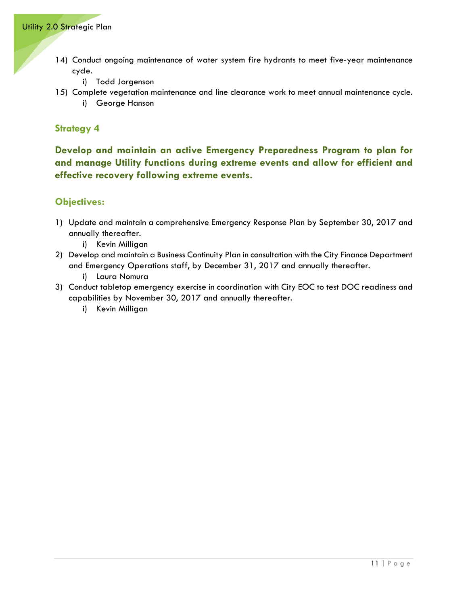- 14) Conduct ongoing maintenance of water system fire hydrants to meet five-year maintenance cycle.
	- i) Todd Jorgenson
- 15) Complete vegetation maintenance and line clearance work to meet annual maintenance cycle.
	- i) George Hanson

**Develop and maintain an active Emergency Preparedness Program to plan for and manage Utility functions during extreme events and allow for efficient and effective recovery following extreme events.**

- 1) Update and maintain a comprehensive Emergency Response Plan by September 30, 2017 and annually thereafter.
	- i) Kevin Milligan
- 2) Develop and maintain a Business Continuity Plan in consultation with the City Finance Department and Emergency Operations staff, by December 31, 2017 and annually thereafter.
	- i) Laura Nomura
- 3) Conduct tabletop emergency exercise in coordination with City EOC to test DOC readiness and capabilities by November 30, 2017 and annually thereafter.
	- i) Kevin Milligan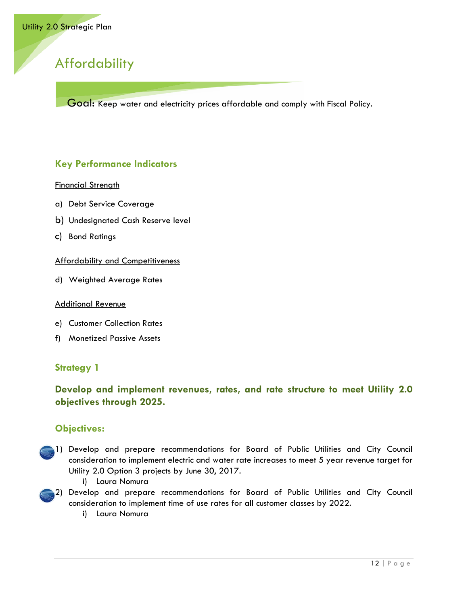# <span id="page-15-0"></span>**Affordability**

Goal: Keep water and electricity prices affordable and comply with Fiscal Policy.

# **Key Performance Indicators**

#### Financial Strength

- a) Debt Service Coverage
- b) Undesignated Cash Reserve level
- c) Bond Ratings

#### Affordability and Competitiveness

d) Weighted Average Rates

#### Additional Revenue

- e) Customer Collection Rates
- f) Monetized Passive Assets

#### **Strategy 1**

# **Develop and implement revenues, rates, and rate structure to meet Utility 2.0 objectives through 2025.**

- 1) Develop and prepare recommendations for Board of Public Utilities and City Council consideration to implement electric and water rate increases to meet 5 year revenue target for Utility 2.0 Option 3 projects by June 30, 2017.
	- i) Laura Nomura
- 2) Develop and prepare recommendations for Board of Public Utilities and City Council consideration to implement time of use rates for all customer classes by 2022.
	- i) Laura Nomura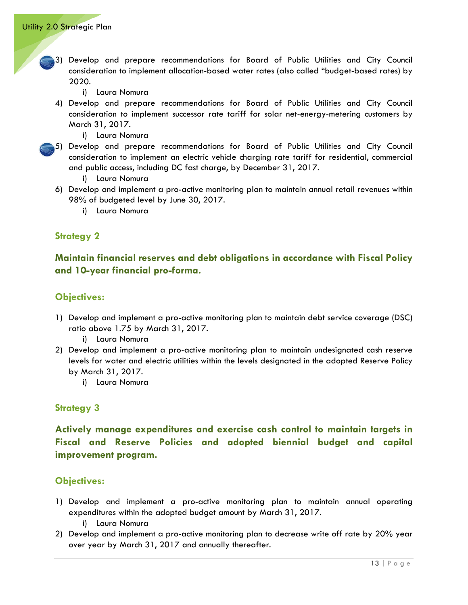- 3) Develop and prepare recommendations for Board of Public Utilities and City Council consideration to implement allocation-based water rates (also called "budget-based rates) by 2020.
	- i) Laura Nomura
- 4) Develop and prepare recommendations for Board of Public Utilities and City Council consideration to implement successor rate tariff for solar net-energy-metering customers by March 31, 2017.
	- i) Laura Nomura
- 5) Develop and prepare recommendations for Board of Public Utilities and City Council consideration to implement an electric vehicle charging rate tariff for residential, commercial and public access, including DC fast charge, by December 31, 2017.
	- i) Laura Nomura
- 6) Develop and implement a pro-active monitoring plan to maintain annual retail revenues within 98% of budgeted level by June 30, 2017.
	- i) Laura Nomura

**Maintain financial reserves and debt obligations in accordance with Fiscal Policy and 10-year financial pro-forma.**

#### **Objectives:**

- 1) Develop and implement a pro-active monitoring plan to maintain debt service coverage (DSC) ratio above 1.75 by March 31, 2017.
	- i) Laura Nomura
- 2) Develop and implement a pro-active monitoring plan to maintain undesignated cash reserve levels for water and electric utilities within the levels designated in the adopted Reserve Policy by March 31, 2017.
	- i) Laura Nomura

#### **Strategy 3**

**Actively manage expenditures and exercise cash control to maintain targets in Fiscal and Reserve Policies and adopted biennial budget and capital improvement program.**

- 1) Develop and implement a pro-active monitoring plan to maintain annual operating expenditures within the adopted budget amount by March 31, 2017.
	- i) Laura Nomura
- 2) Develop and implement a pro-active monitoring plan to decrease write off rate by 20% year over year by March 31, 2017 and annually thereafter.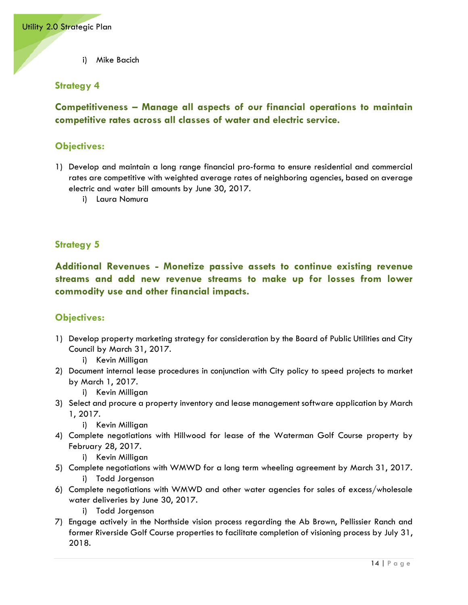i) Mike Bacich

#### **Strategy 4**

**Competitiveness – Manage all aspects of our financial operations to maintain competitive rates across all classes of water and electric service.**

## **Objectives:**

- 1) Develop and maintain a long range financial pro-forma to ensure residential and commercial rates are competitive with weighted average rates of neighboring agencies, based on average electric and water bill amounts by June 30, 2017.
	- i) Laura Nomura

#### **Strategy 5**

**Additional Revenues - Monetize passive assets to continue existing revenue streams and add new revenue streams to make up for losses from lower commodity use and other financial impacts.**

- 1) Develop property marketing strategy for consideration by the Board of Public Utilities and City Council by March 31, 2017.
	- i) Kevin Milligan
- 2) Document internal lease procedures in conjunction with City policy to speed projects to market by March 1, 2017.
	- i) Kevin Milligan
- 3) Select and procure a property inventory and lease management software application by March 1, 2017.
	- i) Kevin Milligan
- 4) Complete negotiations with Hillwood for lease of the Waterman Golf Course property by February 28, 2017.
	- i) Kevin Milligan
- 5) Complete negotiations with WMWD for a long term wheeling agreement by March 31, 2017. i) Todd Jorgenson
- 6) Complete negotiations with WMWD and other water agencies for sales of excess/wholesale water deliveries by June 30, 2017.
	- i) Todd Jorgenson
- 7) Engage actively in the Northside vision process regarding the Ab Brown, Pellissier Ranch and former Riverside Golf Course properties to facilitate completion of visioning process by July 31, 2018.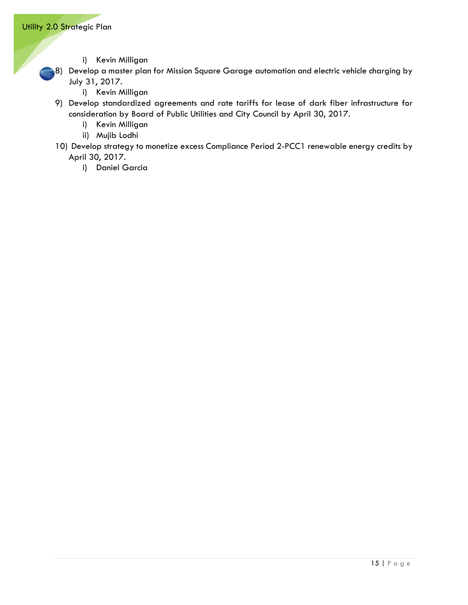- i) Kevin Milligan
- 8) Develop a master plan for Mission Square Garage automation and electric vehicle charging by July 31, 2017.
	- i) Kevin Milligan
- 9) Develop standardized agreements and rate tariffs for lease of dark fiber infrastructure for consideration by Board of Public Utilities and City Council by April 30, 2017.
	- i) Kevin Milligan
	- ii) Mujib Lodhi
- 10) Develop strategy to monetize excess Compliance Period 2-PCC1 renewable energy credits by April 30, 2017.
	- i) Daniel Garcia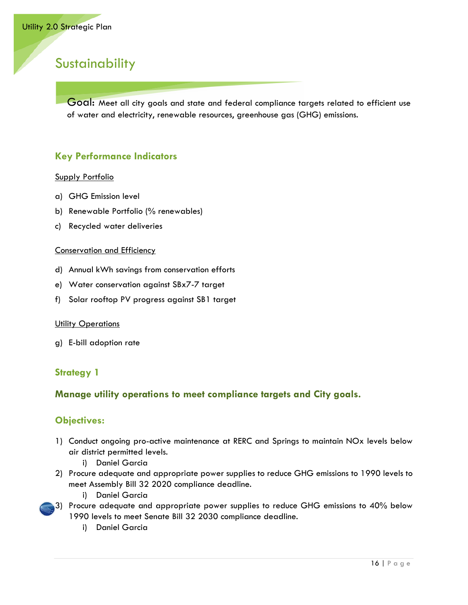# <span id="page-19-0"></span>**Sustainability**

Goal: Meet all city goals and state and federal compliance targets related to efficient use of water and electricity, renewable resources, greenhouse gas (GHG) emissions.

#### **Key Performance Indicators**

#### Supply Portfolio

- a) GHG Emission level
- b) Renewable Portfolio (% renewables)
- c) Recycled water deliveries

#### Conservation and Efficiency

- d) Annual kWh savings from conservation efforts
- e) Water conservation against SBx7-7 target
- f) Solar rooftop PV progress against SB1 target

#### **Utility Operations**

g) E-bill adoption rate

#### **Strategy 1**

#### **Manage utility operations to meet compliance targets and City goals.**

- 1) Conduct ongoing pro-active maintenance at RERC and Springs to maintain NOx levels below air district permitted levels.
	- i) Daniel Garcia
- 2) Procure adequate and appropriate power supplies to reduce GHG emissions to 1990 levels to meet Assembly Bill 32 2020 compliance deadline.
	- i) Daniel Garcia
- 3) Procure adequate and appropriate power supplies to reduce GHG emissions to 40% below 1990 levels to meet Senate Bill 32 2030 compliance deadline.
	- i) Daniel Garcia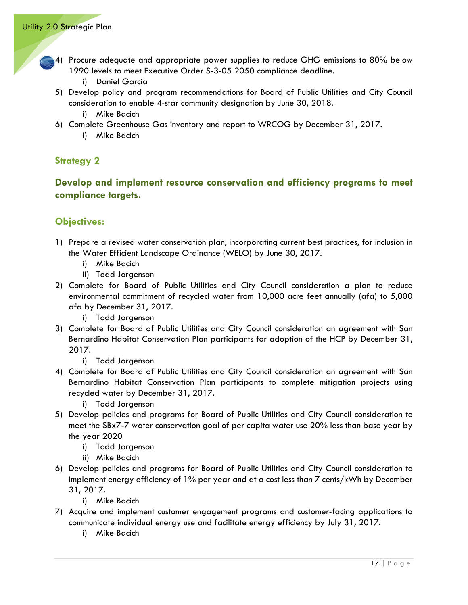- 4) Procure adequate and appropriate power supplies to reduce GHG emissions to 80% below 1990 levels to meet Executive Order S-3-05 2050 compliance deadline.
	- i) Daniel Garcia
- 5) Develop policy and program recommendations for Board of Public Utilities and City Council consideration to enable 4-star community designation by June 30, 2018. i) Mike Bacich
- 6) Complete Greenhouse Gas inventory and report to WRCOG by December 31, 2017.
	- i) Mike Bacich

## **Develop and implement resource conservation and efficiency programs to meet compliance targets.**

#### **Objectives:**

- 1) Prepare a revised water conservation plan, incorporating current best practices, for inclusion in the Water Efficient Landscape Ordinance (WELO) by June 30, 2017.
	- i) Mike Bacich
	- ii) Todd Jorgenson
- 2) Complete for Board of Public Utilities and City Council consideration a plan to reduce environmental commitment of recycled water from 10,000 acre feet annually (afa) to 5,000 afa by December 31, 2017.
	- i) Todd Jorgenson
- 3) Complete for Board of Public Utilities and City Council consideration an agreement with San Bernardino Habitat Conservation Plan participants for adoption of the HCP by December 31, 2017.
	- i) Todd Jorgenson
- 4) Complete for Board of Public Utilities and City Council consideration an agreement with San Bernardino Habitat Conservation Plan participants to complete mitigation projects using recycled water by December 31, 2017.

i) Todd Jorgenson

- 5) Develop policies and programs for Board of Public Utilities and City Council consideration to meet the SBx7-7 water conservation goal of per capita water use 20% less than base year by the year 2020
	- i) Todd Jorgenson
	- ii) Mike Bacich
- 6) Develop policies and programs for Board of Public Utilities and City Council consideration to implement energy efficiency of 1% per year and at a cost less than 7 cents/kWh by December 31, 2017.
	- i) Mike Bacich
- 7) Acquire and implement customer engagement programs and customer-facing applications to communicate individual energy use and facilitate energy efficiency by July 31, 2017.
	- i) Mike Bacich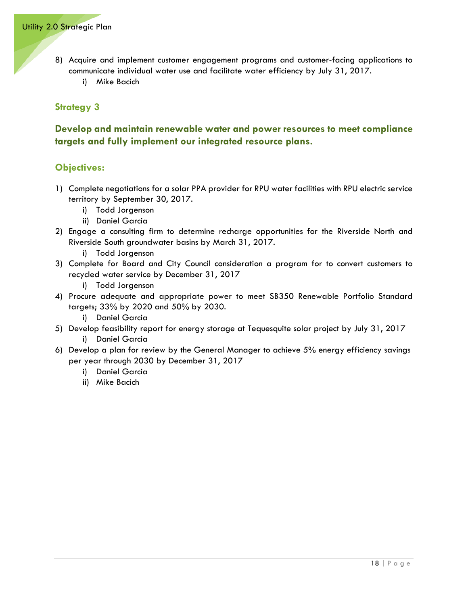- 8) Acquire and implement customer engagement programs and customer-facing applications to communicate individual water use and facilitate water efficiency by July 31, 2017.
	- i) Mike Bacich

# **Develop and maintain renewable water and power resources to meet compliance targets and fully implement our integrated resource plans.**

- 1) Complete negotiations for a solar PPA provider for RPU water facilities with RPU electric service territory by September 30, 2017.
	- i) Todd Jorgenson
	- ii) Daniel Garcia
- 2) Engage a consulting firm to determine recharge opportunities for the Riverside North and Riverside South groundwater basins by March 31, 2017.
	- i) Todd Jorgenson
- 3) Complete for Board and City Council consideration a program for to convert customers to recycled water service by December 31, 2017
	- i) Todd Jorgenson
- 4) Procure adequate and appropriate power to meet SB350 Renewable Portfolio Standard targets; 33% by 2020 and 50% by 2030.
	- i) Daniel Garcia
- 5) Develop feasibility report for energy storage at Tequesquite solar project by July 31, 2017 i) Daniel Garcia
- 6) Develop a plan for review by the General Manager to achieve 5% energy efficiency savings per year through 2030 by December 31, 2017
	- i) Daniel Garcia
	- ii) Mike Bacich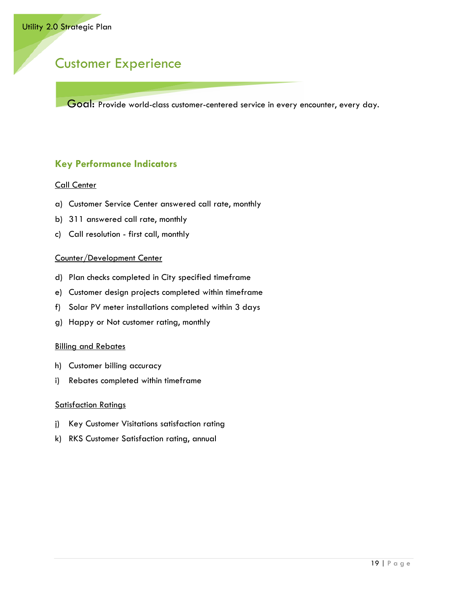# <span id="page-22-0"></span>Customer Experience

Goal: Provide world-class customer-centered service in every encounter, every day.

# **Key Performance Indicators**

#### Call Center

- a) Customer Service Center answered call rate, monthly
- b) 311 answered call rate, monthly
- c) Call resolution first call, monthly

#### Counter/Development Center

- d) Plan checks completed in City specified timeframe
- e) Customer design projects completed within timeframe
- f) Solar PV meter installations completed within 3 days
- g) Happy or Not customer rating, monthly

#### Billing and Rebates

- h) Customer billing accuracy
- i) Rebates completed within timeframe

#### Satisfaction Ratings

- j) Key Customer Visitations satisfaction rating
- k) RKS Customer Satisfaction rating, annual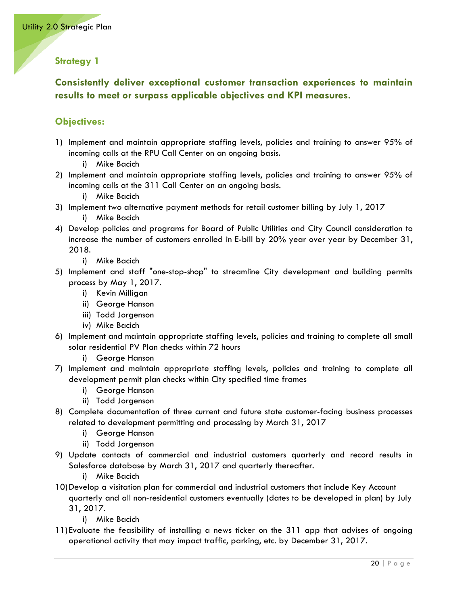# **Consistently deliver exceptional customer transaction experiences to maintain results to meet or surpass applicable objectives and KPI measures.**

- 1) Implement and maintain appropriate staffing levels, policies and training to answer 95% of incoming calls at the RPU Call Center on an ongoing basis.
	- i) Mike Bacich
- 2) Implement and maintain appropriate staffing levels, policies and training to answer 95% of incoming calls at the 311 Call Center on an ongoing basis.
	- i) Mike Bacich
- 3) Implement two alternative payment methods for retail customer billing by July 1, 2017
	- i) Mike Bacich
- 4) Develop policies and programs for Board of Public Utilities and City Council consideration to increase the number of customers enrolled in E-bill by 20% year over year by December 31, 2018.
	- i) Mike Bacich
- 5) Implement and staff "one-stop-shop" to streamline City development and building permits process by May 1, 2017.
	- i) Kevin Milligan
	- ii) George Hanson
	- iii) Todd Jorgenson
	- iv) Mike Bacich
- 6) Implement and maintain appropriate staffing levels, policies and training to complete all small solar residential PV Plan checks within 72 hours
	- i) George Hanson
- 7) Implement and maintain appropriate staffing levels, policies and training to complete all development permit plan checks within City specified time frames
	- i) George Hanson
	- ii) Todd Jorgenson
- 8) Complete documentation of three current and future state customer-facing business processes related to development permitting and processing by March 31, 2017
	- i) George Hanson
	- ii) Todd Jorgenson
- 9) Update contacts of commercial and industrial customers quarterly and record results in Salesforce database by March 31, 2017 and quarterly thereafter.
	- i) Mike Bacich
- 10)Develop a visitation plan for commercial and industrial customers that include Key Account quarterly and all non-residential customers eventually (dates to be developed in plan) by July 31, 2017.
	- i) Mike Bacich
- 11) Evaluate the feasibility of installing a news ticker on the 311 app that advises of ongoing operational activity that may impact traffic, parking, etc. by December 31, 2017.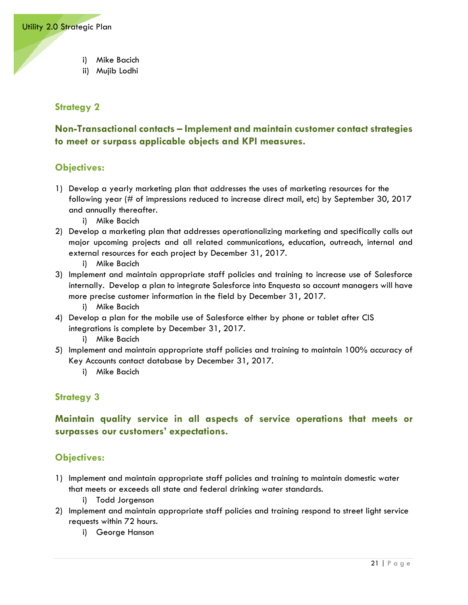- i) Mike Bacich
- ii) Mujib Lodhi

# **Non-Transactional contacts – Implement and maintain customer contact strategies to meet or surpass applicable objects and KPI measures.**

#### **Objectives:**

- 1) Develop a yearly marketing plan that addresses the uses of marketing resources for the following year (# of impressions reduced to increase direct mail, etc) by September 30, 2017 and annually thereafter.
	- i) Mike Bacich
- 2) Develop a marketing plan that addresses operationalizing marketing and specifically calls out major upcoming projects and all related communications, education, outreach, internal and external resources for each project by December 31, 2017.
	- i) Mike Bacich
- 3) Implement and maintain appropriate staff policies and training to increase use of Salesforce internally. Develop a plan to integrate Salesforce into Enquesta so account managers will have more precise customer information in the field by December 31, 2017.
	- i) Mike Bacich
- 4) Develop a plan for the mobile use of Salesforce either by phone or tablet after CIS integrations is complete by December 31, 2017.
	- i) Mike Bacich
- 5) Implement and maintain appropriate staff policies and training to maintain 100% accuracy of Key Accounts contact database by December 31, 2017.
	- i) Mike Bacich

#### **Strategy 3**

**Maintain quality service in all aspects of service operations that meets or surpasses our customers' expectations.**

- 1) Implement and maintain appropriate staff policies and training to maintain domestic water that meets or exceeds all state and federal drinking water standards.
	- i) Todd Jorgenson
- 2) Implement and maintain appropriate staff policies and training respond to street light service requests within 72 hours.
	- i) George Hanson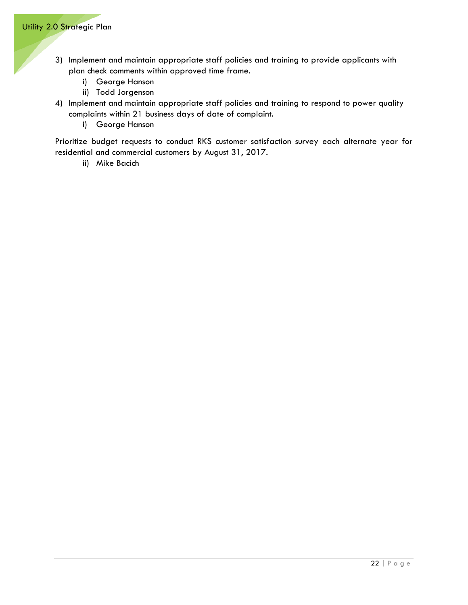- 3) Implement and maintain appropriate staff policies and training to provide applicants with plan check comments within approved time frame.
	- i) George Hanson
	- ii) Todd Jorgenson
- 4) Implement and maintain appropriate staff policies and training to respond to power quality complaints within 21 business days of date of complaint.
	- i) George Hanson

Prioritize budget requests to conduct RKS customer satisfaction survey each alternate year for residential and commercial customers by August 31, 2017.

ii) Mike Bacich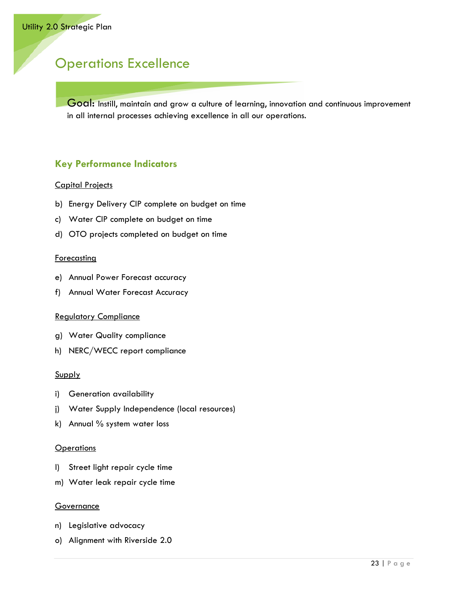# <span id="page-26-0"></span>Operations Excellence

Goal: Instill, maintain and grow a culture of learning, innovation and continuous improvement in all internal processes achieving excellence in all our operations.

# **Key Performance Indicators**

#### Capital Projects

- b) Energy Delivery CIP complete on budget on time
- c) Water CIP complete on budget on time
- d) OTO projects completed on budget on time

#### **Forecasting**

- e) Annual Power Forecast accuracy
- f) Annual Water Forecast Accuracy

#### Regulatory Compliance

- g) Water Quality compliance
- h) NERC/WECC report compliance

#### Supply

- i) Generation availability
- j) Water Supply Independence (local resources)
- k) Annual % system water loss

#### **Operations**

- l) Street light repair cycle time
- m) Water leak repair cycle time

#### **Governance**

- n) Legislative advocacy
- o) Alignment with Riverside 2.0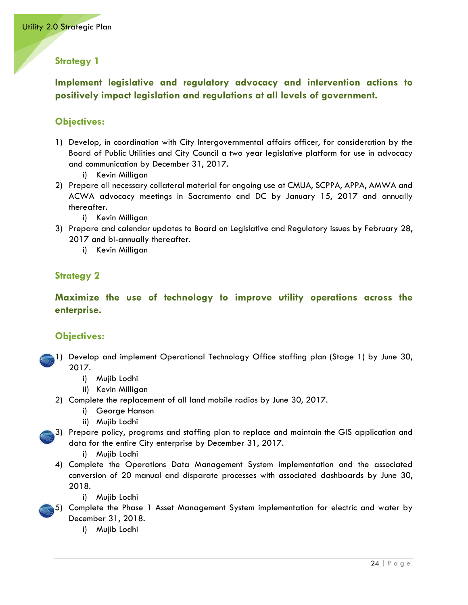# **Implement legislative and regulatory advocacy and intervention actions to positively impact legislation and regulations at all levels of government.**

## **Objectives:**

- 1) Develop, in coordination with City Intergovernmental affairs officer, for consideration by the Board of Public Utilities and City Council a two year legislative platform for use in advocacy and communication by December 31, 2017.
	- i) Kevin Milligan
- 2) Prepare all necessary collateral material for ongoing use at CMUA, SCPPA, APPA, AMWA and ACWA advocacy meetings in Sacramento and DC by January 15, 2017 and annually thereafter.
	- i) Kevin Milligan
- 3) Prepare and calendar updates to Board on Legislative and Regulatory issues by February 28, 2017 and bi-annually thereafter.
	- i) Kevin Milligan

# **Strategy 2**

**Maximize the use of technology to improve utility operations across the enterprise.**

- 1) Develop and implement Operational Technology Office staffing plan (Stage 1) by June 30, 2017.
	- i) Mujib Lodhi
	- ii) Kevin Milligan
	- 2) Complete the replacement of all land mobile radios by June 30, 2017.
		- i) George Hanson
		- ii) Mujib Lodhi
- 3) Prepare policy, programs and staffing plan to replace and maintain the GIS application and data for the entire City enterprise by December 31, 2017.
	- i) Mujib Lodhi
	- 4) Complete the Operations Data Management System implementation and the associated conversion of 20 manual and disparate processes with associated dashboards by June 30, 2018.
		- i) Mujib Lodhi
- 5) Complete the Phase 1 Asset Management System implementation for electric and water by December 31, 2018.
	- i) Mujib Lodhi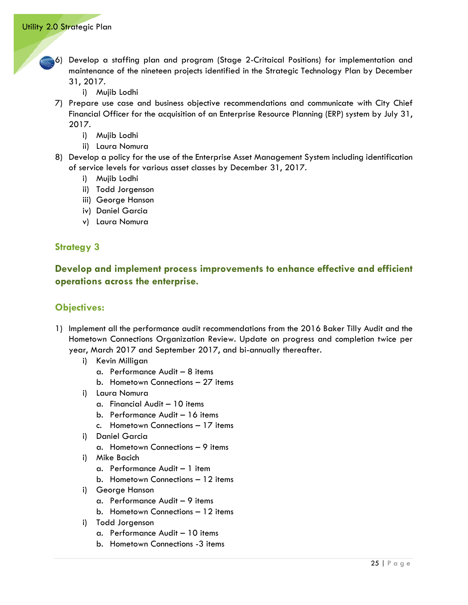- 6) Develop a staffing plan and program (Stage 2-Critaical Positions) for implementation and maintenance of the nineteen projects identified in the Strategic Technology Plan by December 31, 2017.
	- i) Mujib Lodhi
	- 7) Prepare use case and business objective recommendations and communicate with City Chief Financial Officer for the acquisition of an Enterprise Resource Planning (ERP) system by July 31, 2017.
		- i) Mujib Lodhi
		- ii) Laura Nomura
	- 8) Develop a policy for the use of the Enterprise Asset Management System including identification of service levels for various asset classes by December 31, 2017.
		- i) Mujib Lodhi
		- ii) Todd Jorgenson
		- iii) George Hanson
		- iv) Daniel Garcia
		- v) Laura Nomura

**Develop and implement process improvements to enhance effective and efficient operations across the enterprise.** 

- 1) Implement all the performance audit recommendations from the 2016 Baker Tilly Audit and the Hometown Connections Organization Review. Update on progress and completion twice per year, March 2017 and September 2017, and bi-annually thereafter.
	- i) Kevin Milligan
		- a. Performance Audit 8 items
		- b. Hometown Connections 27 items
	- i) Laura Nomura
		- a. Financial Audit 10 items
		- b. Performance Audit 16 items
		- c. Hometown Connections 17 items
	- i) Daniel Garcia
		- a. Hometown Connections 9 items
	- i) Mike Bacich
		- a. Performance Audit 1 item
		- b. Hometown Connections 12 items
	- i) George Hanson
		- a. Performance Audit 9 items
		- b. Hometown Connections 12 items
	- i) Todd Jorgenson
		- a. Performance Audit 10 items
		- b. Hometown Connections -3 items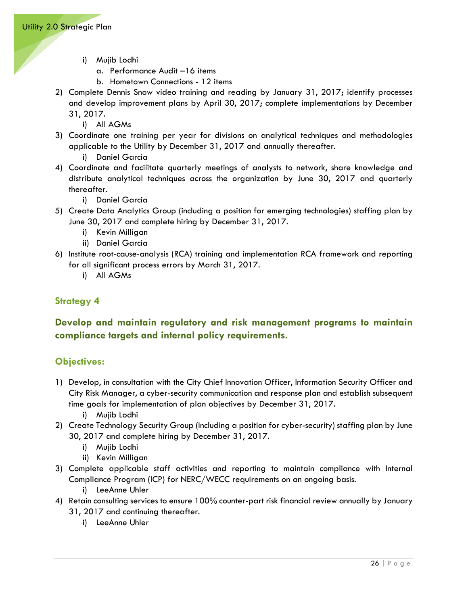- i) Mujib Lodhi
	- a. Performance Audit –16 items
	- b. Hometown Connections 12 items
- 2) Complete Dennis Snow video training and reading by January 31, 2017; identify processes and develop improvement plans by April 30, 2017; complete implementations by December 31, 2017.
	- i) All AGMs
- 3) Coordinate one training per year for divisions on analytical techniques and methodologies applicable to the Utility by December 31, 2017 and annually thereafter.
	- i) Daniel Garcia
- 4) Coordinate and facilitate quarterly meetings of analysts to network, share knowledge and distribute analytical techniques across the organization by June 30, 2017 and quarterly thereafter.
	- i) Daniel Garcia
- 5) Create Data Analytics Group (including a position for emerging technologies) staffing plan by June 30, 2017 and complete hiring by December 31, 2017.
	- i) Kevin Milligan
	- ii) Daniel Garcia
- 6) Institute root-cause-analysis (RCA) training and implementation RCA framework and reporting for all significant process errors by March 31, 2017.
	- i) All AGMs

# **Develop and maintain regulatory and risk management programs to maintain compliance targets and internal policy requirements.**

- 1) Develop, in consultation with the City Chief Innovation Officer, Information Security Officer and City Risk Manager, a cyber-security communication and response plan and establish subsequent time goals for implementation of plan objectives by December 31, 2017.
	- i) Mujib Lodhi
- 2) Create Technology Security Group (including a position for cyber-security) staffing plan by June 30, 2017 and complete hiring by December 31, 2017.
	- i) Mujib Lodhi
	- ii) Kevin Milligan
- 3) Complete applicable staff activities and reporting to maintain compliance with Internal Compliance Program (ICP) for NERC/WECC requirements on an ongoing basis.
	- i) LeeAnne Uhler
- 4) Retain consulting services to ensure 100% counter-part risk financial review annually by January 31, 2017 and continuing thereafter.
	- i) LeeAnne Uhler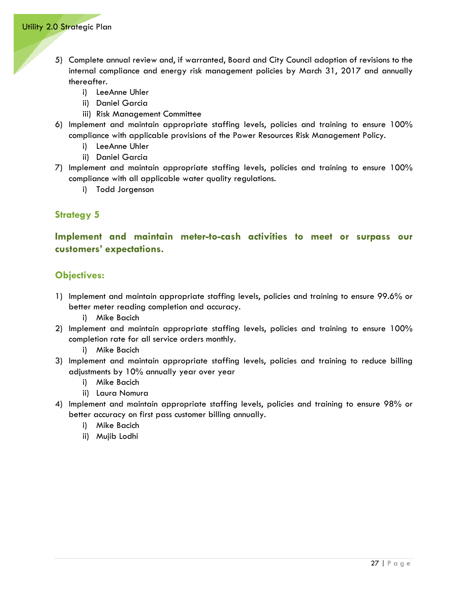- 5) Complete annual review and, if warranted, Board and City Council adoption of revisions to the internal compliance and energy risk management policies by March 31, 2017 and annually thereafter.
	- i) LeeAnne Uhler
	- ii) Daniel Garcia
	- iii) Risk Management Committee
- 6) Implement and maintain appropriate staffing levels, policies and training to ensure 100% compliance with applicable provisions of the Power Resources Risk Management Policy.
	- i) LeeAnne Uhler
	- ii) Daniel Garcia
- 7) Implement and maintain appropriate staffing levels, policies and training to ensure 100% compliance with all applicable water quality regulations.
	- i) Todd Jorgenson

**Implement and maintain meter-to-cash activities to meet or surpass our customers' expectations.** 

#### **Objectives:**

- 1) Implement and maintain appropriate staffing levels, policies and training to ensure 99.6% or better meter reading completion and accuracy.
	- i) Mike Bacich
- 2) Implement and maintain appropriate staffing levels, policies and training to ensure 100% completion rate for all service orders monthly.

i) Mike Bacich

- 3) Implement and maintain appropriate staffing levels, policies and training to reduce billing adjustments by 10% annually year over year
	- i) Mike Bacich
	- ii) Laura Nomura
- 4) Implement and maintain appropriate staffing levels, policies and training to ensure 98% or better accuracy on first pass customer billing annually.
	- i) Mike Bacich
	- ii) Mujib Lodhi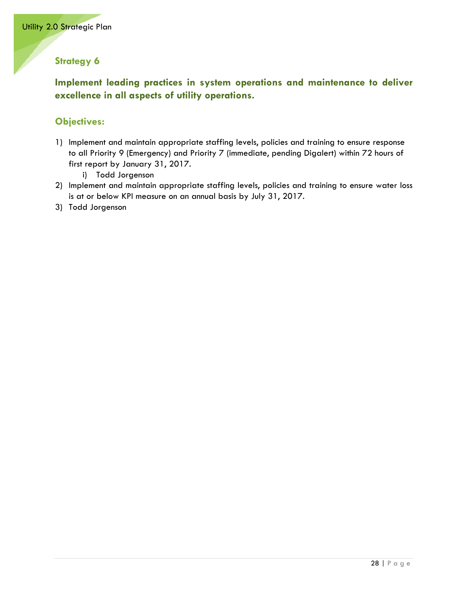**Implement leading practices in system operations and maintenance to deliver excellence in all aspects of utility operations.**

# **Objectives:**

1) Implement and maintain appropriate staffing levels, policies and training to ensure response to all Priority 9 (Emergency) and Priority 7 (immediate, pending Digalert) within 72 hours of first report by January 31, 2017.

i) Todd Jorgenson

- 2) Implement and maintain appropriate staffing levels, policies and training to ensure water loss is at or below KPI measure on an annual basis by July 31, 2017.
- 3) Todd Jorgenson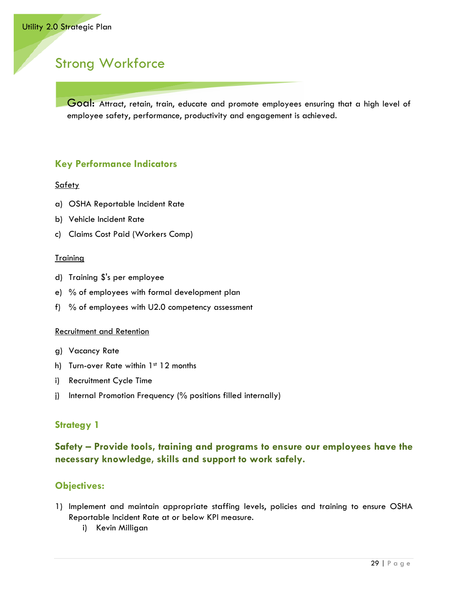# <span id="page-32-0"></span>Strong Workforce

Goal: Attract, retain, train, educate and promote employees ensuring that a high level of employee safety, performance, productivity and engagement is achieved.

# **Key Performance Indicators**

#### **Safety**

- a) OSHA Reportable Incident Rate
- b) Vehicle Incident Rate
- c) Claims Cost Paid (Workers Comp)

#### **Training**

- d) Training \$'s per employee
- e) % of employees with formal development plan
- f) % of employees with U2.0 competency assessment

#### Recruitment and Retention

- g) Vacancy Rate
- h) Turn-over Rate within 1st 12 months
- i) Recruitment Cycle Time
- j) Internal Promotion Frequency (% positions filled internally)

# **Strategy 1**

# **Safety – Provide tools, training and programs to ensure our employees have the necessary knowledge, skills and support to work safely.**

- 1) Implement and maintain appropriate staffing levels, policies and training to ensure OSHA Reportable Incident Rate at or below KPI measure.
	- i) Kevin Milligan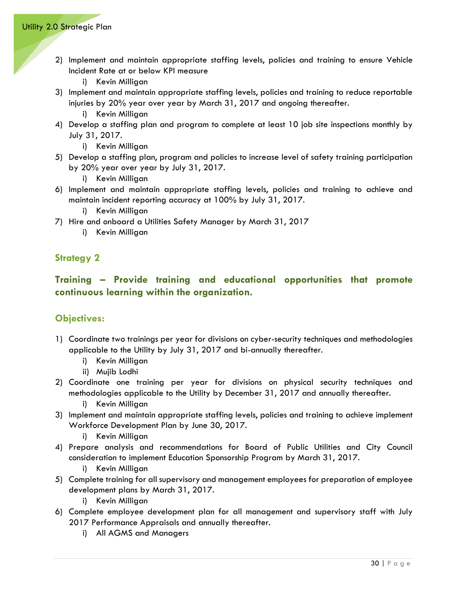- 2) Implement and maintain appropriate staffing levels, policies and training to ensure Vehicle Incident Rate at or below KPI measure
	- i) Kevin Milligan
- 3) Implement and maintain appropriate staffing levels, policies and training to reduce reportable injuries by 20% year over year by March 31, 2017 and ongoing thereafter.
	- i) Kevin Milligan
- 4) Develop a staffing plan and program to complete at least 10 job site inspections monthly by July 31, 2017.
	- i) Kevin Milligan
- 5) Develop a staffing plan, program and policies to increase level of safety training participation by 20% year over year by July 31, 2017.
	- i) Kevin Milligan
- 6) Implement and maintain appropriate staffing levels, policies and training to achieve and maintain incident reporting accuracy at 100% by July 31, 2017.
	- i) Kevin Milligan
- 7) Hire and onboard a Utilities Safety Manager by March 31, 2017
	- i) Kevin Milligan

# **Training – Provide training and educational opportunities that promote continuous learning within the organization.**

- 1) Coordinate two trainings per year for divisions on cyber-security techniques and methodologies applicable to the Utility by July 31, 2017 and bi-annually thereafter.
	- i) Kevin Milligan
	- ii) Mujib Lodhi
- 2) Coordinate one training per year for divisions on physical security techniques and methodologies applicable to the Utility by December 31, 2017 and annually thereafter.
	- i) Kevin Milligan
- 3) Implement and maintain appropriate staffing levels, policies and training to achieve implement Workforce Development Plan by June 30, 2017.
	- i) Kevin Milligan
- 4) Prepare analysis and recommendations for Board of Public Utilities and City Council consideration to implement Education Sponsorship Program by March 31, 2017.
	- i) Kevin Milligan
- 5) Complete training for all supervisory and management employees for preparation of employee development plans by March 31, 2017.
	- i) Kevin Milligan
- 6) Complete employee development plan for all management and supervisory staff with July 2017 Performance Appraisals and annually thereafter.
	- i) All AGMS and Managers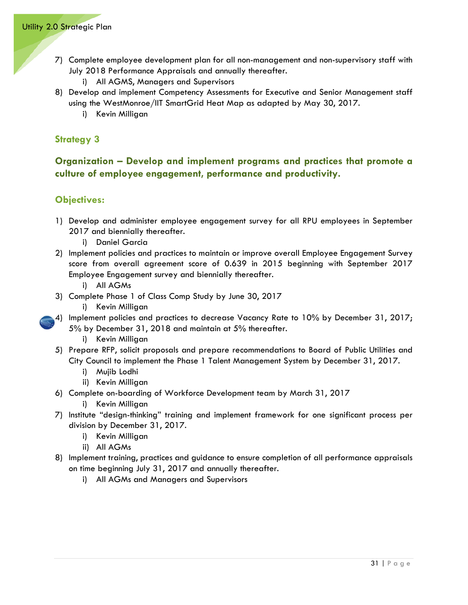- 7) Complete employee development plan for all non-management and non-supervisory staff with July 2018 Performance Appraisals and annually thereafter.
	- i) All AGMS, Managers and Supervisors
- 8) Develop and implement Competency Assessments for Executive and Senior Management staff using the WestMonroe/IIT SmartGrid Heat Map as adapted by May 30, 2017.
	- i) Kevin Milligan

## **Organization – Develop and implement programs and practices that promote a culture of employee engagement, performance and productivity.**

- 1) Develop and administer employee engagement survey for all RPU employees in September 2017 and biennially thereafter.
	- i) Daniel Garcia
- 2) Implement policies and practices to maintain or improve overall Employee Engagement Survey score from overall agreement score of 0.639 in 2015 beginning with September 2017 Employee Engagement survey and biennially thereafter.
	- i) All AGMs
- 3) Complete Phase 1 of Class Comp Study by June 30, 2017
	- i) Kevin Milligan
- 4) Implement policies and practices to decrease Vacancy Rate to 10% by December 31, 2017; 5% by December 31, 2018 and maintain at 5% thereafter.
	- i) Kevin Milligan
	- 5) Prepare RFP, solicit proposals and prepare recommendations to Board of Public Utilities and City Council to implement the Phase 1 Talent Management System by December 31, 2017.
		- i) Mujib Lodhi
		- ii) Kevin Milligan
	- 6) Complete on-boarding of Workforce Development team by March 31, 2017
		- i) Kevin Milligan
- 7) Institute "design-thinking" training and implement framework for one significant process per division by December 31, 2017.
	- i) Kevin Milligan
	- ii) All AGMs
- 8) Implement training, practices and guidance to ensure completion of all performance appraisals on time beginning July 31, 2017 and annually thereafter.
	- i) All AGMs and Managers and Supervisors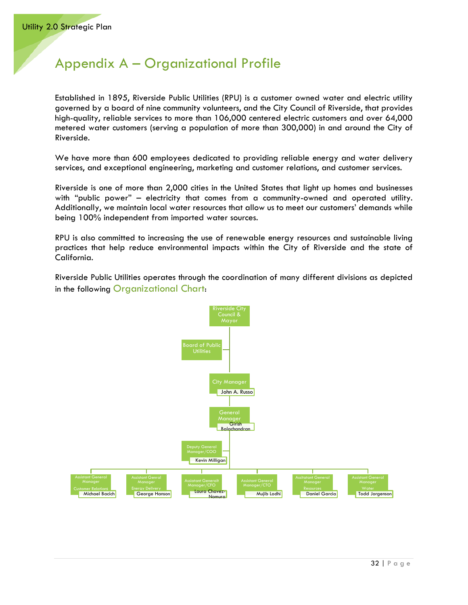# <span id="page-35-0"></span>Appendix A – Organizational Profile

Established in 1895, Riverside Public Utilities (RPU) is a customer owned water and electric utility governed by a board of nine community volunteers, and the City Council of Riverside, that provides high-quality, reliable services to more than 106,000 centered electric customers and over 64,000 metered water customers (serving a population of more than 300,000) in and around the City of Riverside.

We have more than 600 employees dedicated to providing reliable energy and water delivery services, and exceptional engineering, marketing and customer relations, and customer services.

Riverside is one of more than 2,000 cities in the United States that light up homes and businesses with "public power" – electricity that comes from a community-owned and operated utility. Additionally, we maintain local water resources that allow us to meet our customers' demands while being 100% independent from imported water sources.

RPU is also committed to increasing the use of renewable energy resources and sustainable living practices that help reduce environmental impacts within the City of Riverside and the state of California.

Riverside Public Utilities operates through the coordination of many different divisions as depicted in the following Organizational Chart:

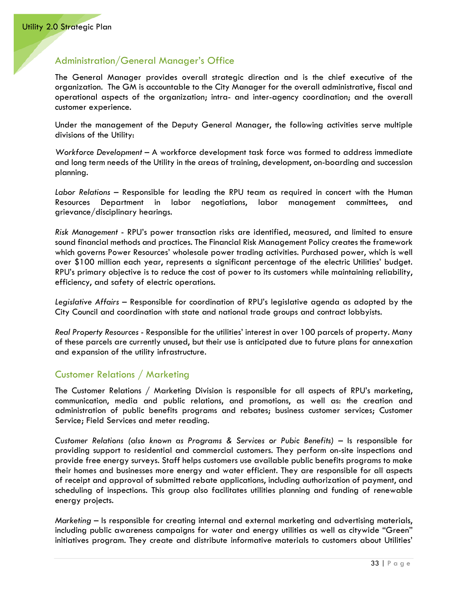#### <span id="page-36-0"></span>Administration/General Manager's Office

The General Manager provides overall strategic direction and is the chief executive of the organization. The GM is accountable to the City Manager for the overall administrative, fiscal and operational aspects of the organization; intra- and inter-agency coordination; and the overall customer experience.

Under the management of the Deputy General Manager, the following activities serve multiple divisions of the Utility:

*Workforce Development –* A workforce development task force was formed to address immediate and long term needs of the Utility in the areas of training, development, on-boarding and succession planning.

*Labor Relations* – Responsible for leading the RPU team as required in concert with the Human Resources Department in labor negotiations, labor management committees, and grievance/disciplinary hearings.

*Risk Management* - RPU's power transaction risks are identified, measured, and limited to ensure sound financial methods and practices. The Financial Risk Management Policy creates the framework which governs Power Resources' wholesale power trading activities. Purchased power, which is well over \$100 million each year, represents a significant percentage of the electric Utilities' budget. RPU's primary objective is to reduce the cost of power to its customers while maintaining reliability, efficiency, and safety of electric operations.

*Legislative Affairs –* Responsible for coordination of RPU's legislative agenda as adopted by the City Council and coordination with state and national trade groups and contract lobbyists.

*Real Property Resources* - Responsible for the utilities' interest in over 100 parcels of property. Many of these parcels are currently unused, but their use is anticipated due to future plans for annexation and expansion of the utility infrastructure.

#### <span id="page-36-1"></span>Customer Relations / Marketing

The Customer Relations / Marketing Division is responsible for all aspects of RPU's marketing, communication, media and public relations, and promotions, as well as: the creation and administration of public benefits programs and rebates; business customer services; Customer Service; Field Services and meter reading.

Customer Relations (also known as Programs & Services or Pubic Benefits) - Is responsible for providing support to residential and commercial customers. They perform on-site inspections and provide free energy surveys. Staff helps customers use available public benefits programs to make their homes and businesses more energy and water efficient. They are responsible for all aspects of receipt and approval of submitted rebate applications, including authorization of payment, and scheduling of inspections. This group also facilitates utilities planning and funding of renewable energy projects.

*Marketing* – Is responsible for creating internal and external marketing and advertising materials, including public awareness campaigns for water and energy utilities as well as citywide "Green" initiatives program. They create and distribute informative materials to customers about Utilities'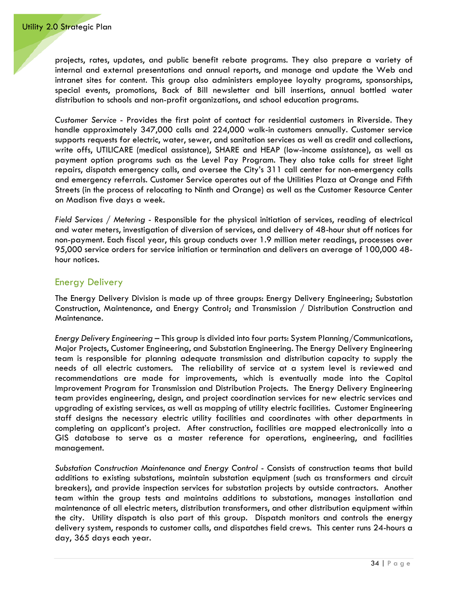projects, rates, updates, and public benefit rebate programs. They also prepare a variety of internal and external presentations and annual reports, and manage and update the Web and intranet sites for content. This group also administers employee loyalty programs, sponsorships, special events, promotions, Back of Bill newsletter and bill insertions, annual bottled water distribution to schools and non-profit organizations, and school education programs.

*Customer Service* - Provides the first point of contact for residential customers in Riverside. They handle approximately 347,000 calls and 224,000 walk-in customers annually. Customer service supports requests for electric, water, sewer, and sanitation services as well as credit and collections, write offs, UTILICARE (medical assistance), SHARE and HEAP (low-income assistance), as well as payment option programs such as the Level Pay Program. They also take calls for street light repairs, dispatch emergency calls, and oversee the City's 311 call center for non-emergency calls and emergency referrals. Customer Service operates out of the Utilities Plaza at Orange and Fifth Streets (in the process of relocating to Ninth and Orange) as well as the Customer Resource Center on Madison five days a week.

*Field Services / Metering* - Responsible for the physical initiation of services, reading of electrical and water meters, investigation of diversion of services, and delivery of 48-hour shut off notices for non-payment. Each fiscal year, this group conducts over 1.9 million meter readings, processes over 95,000 service orders for service initiation or termination and delivers an average of 100,000 48 hour notices.

#### <span id="page-37-0"></span>Energy Delivery

The Energy Delivery Division is made up of three groups: Energy Delivery Engineering; Substation Construction, Maintenance, and Energy Control; and Transmission / Distribution Construction and Maintenance.

*Energy Delivery Engineering* – This group is divided into four parts: System Planning/Communications, Major Projects, Customer Engineering, and Substation Engineering. The Energy Delivery Engineering team is responsible for planning adequate transmission and distribution capacity to supply the needs of all electric customers. The reliability of service at a system level is reviewed and recommendations are made for improvements, which is eventually made into the Capital Improvement Program for Transmission and Distribution Projects. The Energy Delivery Engineering team provides engineering, design, and project coordination services for new electric services and upgrading of existing services, as well as mapping of utility electric facilities. Customer Engineering staff designs the necessary electric utility facilities and coordinates with other departments in completing an applicant's project. After construction, facilities are mapped electronically into a GIS database to serve as a master reference for operations, engineering, and facilities management.

*Substation Construction Maintenance and Energy Control* - Consists of construction teams that build additions to existing substations, maintain substation equipment (such as transformers and circuit breakers), and provide inspection services for substation projects by outside contractors. Another team within the group tests and maintains additions to substations, manages installation and maintenance of all electric meters, distribution transformers, and other distribution equipment within the city. Utility dispatch is also part of this group. Dispatch monitors and controls the energy delivery system, responds to customer calls, and dispatches field crews. This center runs 24-hours a day, 365 days each year.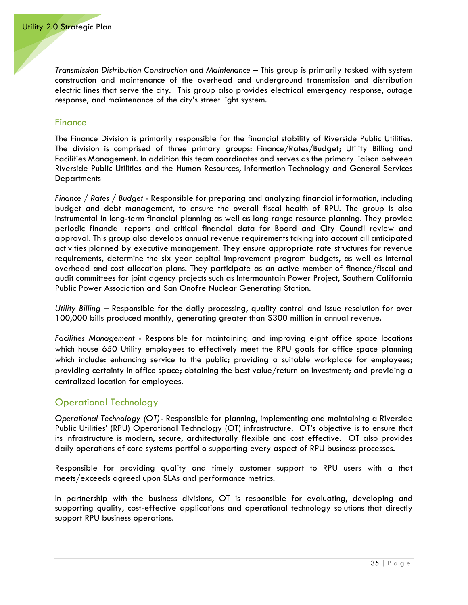*Transmission Distribution Construction and Maintenance* – This group is primarily tasked with system construction and maintenance of the overhead and underground transmission and distribution electric lines that serve the city. This group also provides electrical emergency response, outage response, and maintenance of the city's street light system.

#### <span id="page-38-0"></span>**Finance**

The Finance Division is primarily responsible for the financial stability of Riverside Public Utilities. The division is comprised of three primary groups: Finance/Rates/Budget; Utility Billing and Facilities Management. In addition this team coordinates and serves as the primary liaison between Riverside Public Utilities and the Human Resources, Information Technology and General Services **Departments** 

*Finance / Rates / Budget* - Responsible for preparing and analyzing financial information, including budget and debt management, to ensure the overall fiscal health of RPU. The group is also instrumental in long-term financial planning as well as long range resource planning. They provide periodic financial reports and critical financial data for Board and City Council review and approval. This group also develops annual revenue requirements taking into account all anticipated activities planned by executive management. They ensure appropriate rate structures for revenue requirements, determine the six year capital improvement program budgets, as well as internal overhead and cost allocation plans. They participate as an active member of finance/fiscal and audit committees for joint agency projects such as Intermountain Power Project, Southern California Public Power Association and San Onofre Nuclear Generating Station.

*Utility Billing* – Responsible for the daily processing, quality control and issue resolution for over 100,000 bills produced monthly, generating greater than \$300 million in annual revenue.

*Facilities Management* - Responsible for maintaining and improving eight office space locations which house 650 Utility employees to effectively meet the RPU goals for office space planning which include: enhancing service to the public; providing a suitable workplace for employees; providing certainty in office space; obtaining the best value/return on investment; and providing a centralized location for employees.

#### <span id="page-38-1"></span>Operational Technology

*Operational Technology (OT)*- Responsible for planning, implementing and maintaining a Riverside Public Utilities' (RPU) Operational Technology (OT) infrastructure. OT's objective is to ensure that its infrastructure is modern, secure, architecturally flexible and cost effective. OT also provides daily operations of core systems portfolio supporting every aspect of RPU business processes.

Responsible for providing quality and timely customer support to RPU users with a that meets/exceeds agreed upon SLAs and performance metrics.

In partnership with the business divisions, OT is responsible for evaluating, developing and supporting quality, cost-effective applications and operational technology solutions that directly support RPU business operations.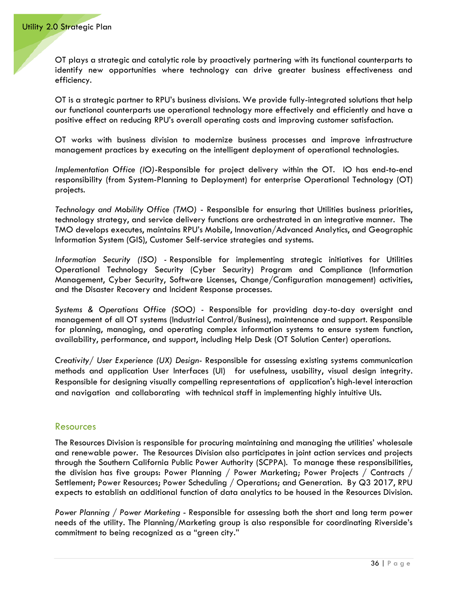OT plays a strategic and catalytic role by proactively partnering with its functional counterparts to identify new opportunities where technology can drive greater business effectiveness and efficiency.

OT is a strategic partner to RPU's business divisions. We provide fully-integrated solutions that help our functional counterparts use operational technology more effectively and efficiently and have a positive effect on reducing RPU's overall operating costs and improving customer satisfaction.

OT works with business division to modernize business processes and improve infrastructure management practices by executing on the intelligent deployment of operational technologies.

*Implementation Office (IO)*-Responsible for project delivery within the OT. IO has end-to-end responsibility (from System-Planning to Deployment) for enterprise Operational Technology (OT) projects.

*Technology and Mobility Office (TMO)* - Responsible for ensuring that Utilities business priorities, technology strategy, and service delivery functions are orchestrated in an integrative manner. The TMO develops executes, maintains RPU's Mobile, Innovation/Advanced Analytics, and Geographic Information System (GIS), Customer Self-service strategies and systems.

*Information Security (ISO) -* Responsible for implementing strategic initiatives for Utilities Operational Technology Security (Cyber Security) Program and Compliance (Information Management, Cyber Security, Software Licenses, Change/Configuration management) activities, and the Disaster Recovery and Incident Response processes.

*Systems & Operations Office (SOO) -* Responsible for providing day-to-day oversight and management of all OT systems (Industrial Control/Business), maintenance and support. Responsible for planning, managing, and operating complex information systems to ensure system function, availability, performance, and support, including Help Desk (OT Solution Center) operations.

*Creativity/ User Experience (UX) Design-* Responsible for assessing existing systems communication methods and application User Interfaces (UI) for usefulness, usability, visual design integrity. Responsible for designing visually compelling representations of application's high-level interaction and navigation and collaborating with technical staff in implementing highly intuitive UIs.

#### <span id="page-39-0"></span>Resources

The Resources Division is responsible for procuring maintaining and managing the utilities' wholesale and renewable power. The Resources Division also participates in joint action services and projects through the Southern California Public Power Authority (SCPPA). To manage these responsibilities, the division has five groups: Power Planning / Power Marketing; Power Projects / Contracts / Settlement; Power Resources; Power Scheduling / Operations; and Generation. By Q3 2017, RPU expects to establish an additional function of data analytics to be housed in the Resources Division.

*Power Planning / Power Marketing* - Responsible for assessing both the short and long term power needs of the utility. The Planning/Marketing group is also responsible for coordinating Riverside's commitment to being recognized as a "green city."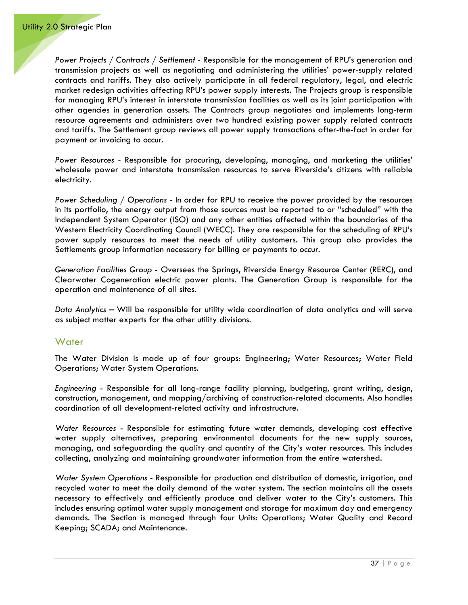*Power Projects / Contracts / Settlement* - Responsible for the management of RPU's generation and transmission projects as well as negotiating and administering the utilities' power-supply related contracts and tariffs. They also actively participate in all federal regulatory, legal, and electric market redesign activities affecting RPU's power supply interests. The Projects group is responsible for managing RPU's interest in interstate transmission facilities as well as its joint participation with other agencies in generation assets. The Contracts group negotiates and implements long-term resource agreements and administers over two hundred existing power supply related contracts and tariffs. The Settlement group reviews all power supply transactions after-the-fact in order for payment or invoicing to occur.

*Power Resources* - Responsible for procuring, developing, managing, and marketing the utilities' wholesale power and interstate transmission resources to serve Riverside's citizens with reliable electricity.

*Power Scheduling / Operations* - In order for RPU to receive the power provided by the resources in its portfolio, the energy output from those sources must be reported to or "scheduled" with the Independent System Operator (ISO) and any other entities affected within the boundaries of the Western Electricity Coordinating Council (WECC). They are responsible for the scheduling of RPU's power supply resources to meet the needs of utility customers. This group also provides the Settlements group information necessary for billing or payments to occur.

*Generation Facilities Group* - Oversees the Springs, Riverside Energy Resource Center (RERC), and Clearwater Cogeneration electric power plants. The Generation Group is responsible for the operation and maintenance of all sites.

*Data Analytics* – Will be responsible for utility wide coordination of data analytics and will serve as subject matter experts for the other utility divisions.

#### <span id="page-40-0"></span>**Water**

The Water Division is made up of four groups: Engineering; Water Resources; Water Field Operations; Water System Operations.

*Engineering* - Responsible for all long-range facility planning, budgeting, grant writing, design, construction, management, and mapping/archiving of construction-related documents. Also handles coordination of all development-related activity and infrastructure.

*Water Resources* - Responsible for estimating future water demands, developing cost effective water supply alternatives, preparing environmental documents for the new supply sources, managing, and safeguarding the quality and quantity of the City's water resources. This includes collecting, analyzing and maintaining groundwater information from the entire watershed.

*Water System Operations* - Responsible for production and distribution of domestic, irrigation, and recycled water to meet the daily demand of the water system. The section maintains all the assets necessary to effectively and efficiently produce and deliver water to the City's customers. This includes ensuring optimal water supply management and storage for maximum day and emergency demands. The Section is managed through four Units: Operations; Water Quality and Record Keeping; SCADA; and Maintenance.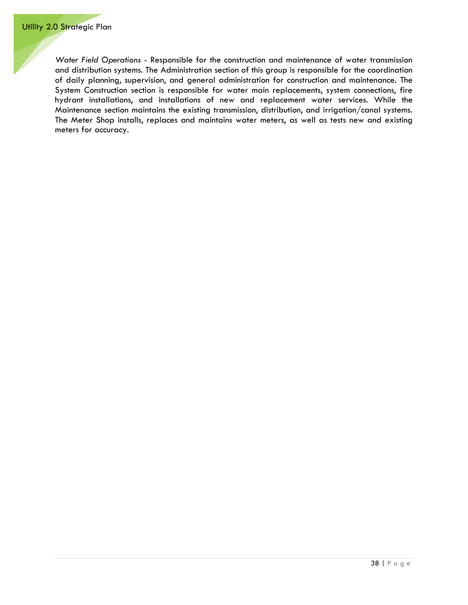*Water Field Operations* - Responsible for the construction and maintenance of water transmission and distribution systems. The Administration section of this group is responsible for the coordination of daily planning, supervision, and general administration for construction and maintenance. The System Construction section is responsible for water main replacements, system connections, fire hydrant installations, and installations of new and replacement water services. While the Maintenance section maintains the existing transmission, distribution, and irrigation/canal systems. The Meter Shop installs, replaces and maintains water meters, as well as tests new and existing meters for accuracy.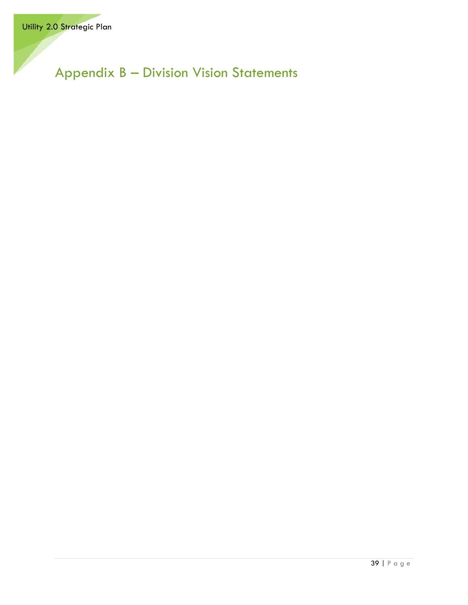<span id="page-42-0"></span>Appendix B – Division Vision Statements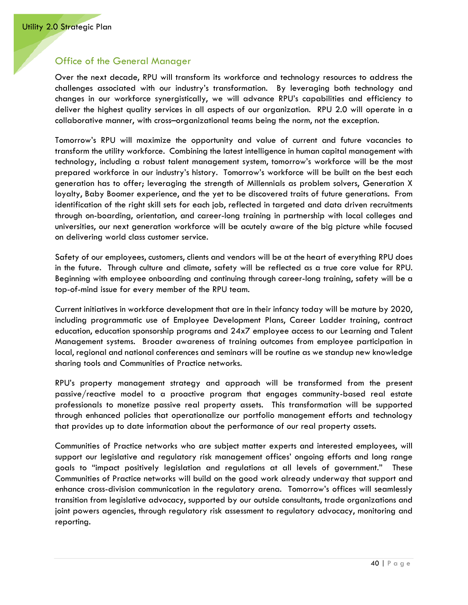#### <span id="page-43-0"></span>Office of the General Manager

Over the next decade, RPU will transform its workforce and technology resources to address the challenges associated with our industry's transformation. By leveraging both technology and changes in our workforce synergistically, we will advance RPU's capabilities and efficiency to deliver the highest quality services in all aspects of our organization. RPU 2.0 will operate in a collaborative manner, with cross–organizational teams being the norm, not the exception.

Tomorrow's RPU will maximize the opportunity and value of current and future vacancies to transform the utility workforce. Combining the latest intelligence in human capital management with technology, including a robust talent management system, tomorrow's workforce will be the most prepared workforce in our industry's history. Tomorrow's workforce will be built on the best each generation has to offer; leveraging the strength of Millennials as problem solvers, Generation X loyalty, Baby Boomer experience, and the yet to be discovered traits of future generations. From identification of the right skill sets for each job, reflected in targeted and data driven recruitments through on-boarding, orientation, and career-long training in partnership with local colleges and universities, our next generation workforce will be acutely aware of the big picture while focused on delivering world class customer service.

Safety of our employees, customers, clients and vendors will be at the heart of everything RPU does in the future. Through culture and climate, safety will be reflected as a true core value for RPU. Beginning with employee onboarding and continuing through career-long training, safety will be a top-of-mind issue for every member of the RPU team.

Current initiatives in workforce development that are in their infancy today will be mature by 2020, including programmatic use of Employee Development Plans, Career Ladder training, contract education, education sponsorship programs and 24x7 employee access to our Learning and Talent Management systems. Broader awareness of training outcomes from employee participation in local, regional and national conferences and seminars will be routine as we standup new knowledge sharing tools and Communities of Practice networks.

RPU's property management strategy and approach will be transformed from the present passive/reactive model to a proactive program that engages community-based real estate professionals to monetize passive real property assets. This transformation will be supported through enhanced policies that operationalize our portfolio management efforts and technology that provides up to date information about the performance of our real property assets.

Communities of Practice networks who are subject matter experts and interested employees, will support our legislative and regulatory risk management offices' ongoing efforts and long range goals to "impact positively legislation and regulations at all levels of government." These Communities of Practice networks will build on the good work already underway that support and enhance cross-division communication in the regulatory arena. Tomorrow's offices will seamlessly transition from legislative advocacy, supported by our outside consultants, trade organizations and joint powers agencies, through regulatory risk assessment to regulatory advocacy, monitoring and reporting.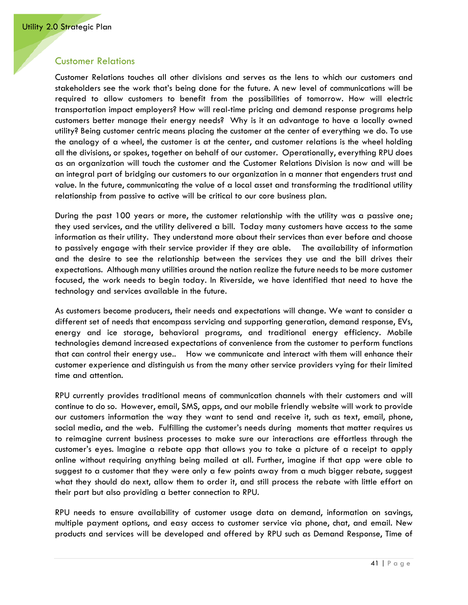#### <span id="page-44-0"></span>Customer Relations

Customer Relations touches all other divisions and serves as the lens to which our customers and stakeholders see the work that's being done for the future. A new level of communications will be required to allow customers to benefit from the possibilities of tomorrow. How will electric transportation impact employers? How will real-time pricing and demand response programs help customers better manage their energy needs? Why is it an advantage to have a locally owned utility? Being customer centric means placing the customer at the center of everything we do. To use the analogy of a wheel, the customer is at the center, and customer relations is the wheel holding all the divisions, or spokes, together on behalf of our customer. Operationally, everything RPU does as an organization will touch the customer and the Customer Relations Division is now and will be an integral part of bridging our customers to our organization in a manner that engenders trust and value. In the future, communicating the value of a local asset and transforming the traditional utility relationship from passive to active will be critical to our core business plan.

During the past 100 years or more, the customer relationship with the utility was a passive one; they used services, and the utility delivered a bill. Today many customers have access to the same information as their utility. They understand more about their services than ever before and choose to passively engage with their service provider if they are able. The availability of information and the desire to see the relationship between the services they use and the bill drives their expectations. Although many utilities around the nation realize the future needs to be more customer focused, the work needs to begin today. In Riverside, we have identified that need to have the technology and services available in the future.

As customers become producers, their needs and expectations will change. We want to consider a different set of needs that encompass servicing and supporting generation, demand response, EVs, energy and ice storage, behavioral programs, and traditional energy efficiency. Mobile technologies demand increased expectations of convenience from the customer to perform functions that can control their energy use.. How we communicate and interact with them will enhance their customer experience and distinguish us from the many other service providers vying for their limited time and attention.

RPU currently provides traditional means of communication channels with their customers and will continue to do so. However, email, SMS, apps, and our mobile friendly website will work to provide our customers information the way they want to send and receive it, such as text, email, phone, social media, and the web. Fulfilling the customer's needs during moments that matter requires us to reimagine current business processes to make sure our interactions are effortless through the customer's eyes. Imagine a rebate app that allows you to take a picture of a receipt to apply online without requiring anything being mailed at all. Further, imagine if that app were able to suggest to a customer that they were only a few points away from a much bigger rebate, suggest what they should do next, allow them to order it, and still process the rebate with little effort on their part but also providing a better connection to RPU.

RPU needs to ensure availability of customer usage data on demand, information on savings, multiple payment options, and easy access to customer service via phone, chat, and email. New products and services will be developed and offered by RPU such as Demand Response, Time of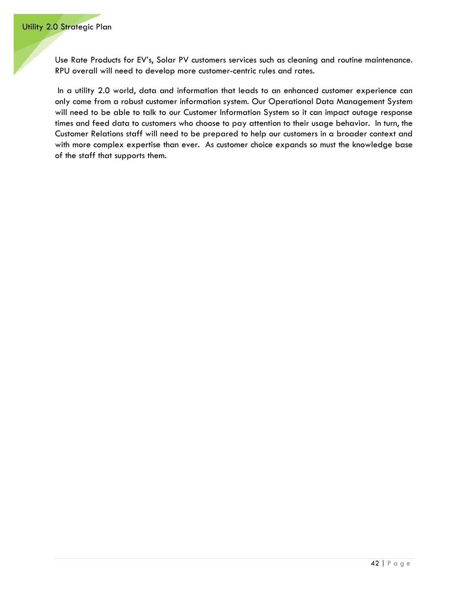Use Rate Products for EV's, Solar PV customers services such as cleaning and routine maintenance. RPU overall will need to develop more customer-centric rules and rates.

In a utility 2.0 world, data and information that leads to an enhanced customer experience can only come from a robust customer information system. Our Operational Data Management System will need to be able to talk to our Customer Information System so it can impact outage response times and feed data to customers who choose to pay attention to their usage behavior. In turn, the Customer Relations staff will need to be prepared to help our customers in a broader context and with more complex expertise than ever. As customer choice expands so must the knowledge base of the staff that supports them.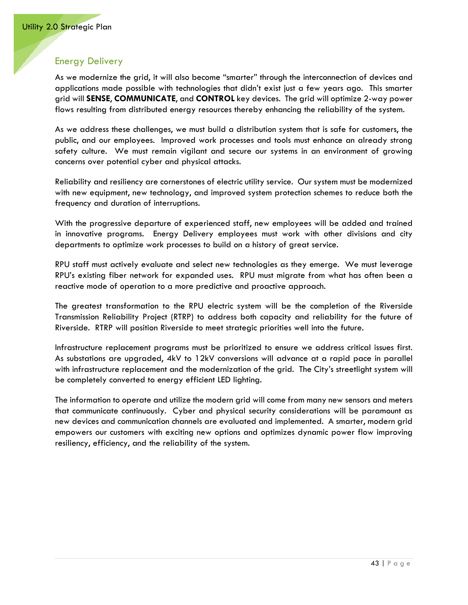# <span id="page-46-0"></span>Energy Delivery

As we modernize the grid, it will also become "smarter" through the interconnection of devices and applications made possible with technologies that didn't exist just a few years ago. This smarter grid will **SENSE**, **COMMUNICATE**, and **CONTROL** key devices. The grid will optimize 2-way power flows resulting from distributed energy resources thereby enhancing the reliability of the system.

As we address these challenges, we must build a distribution system that is safe for customers, the public, and our employees. Improved work processes and tools must enhance an already strong safety culture. We must remain vigilant and secure our systems in an environment of growing concerns over potential cyber and physical attacks.

Reliability and resiliency are cornerstones of electric utility service. Our system must be modernized with new equipment, new technology, and improved system protection schemes to reduce both the frequency and duration of interruptions.

With the progressive departure of experienced staff, new employees will be added and trained in innovative programs. Energy Delivery employees must work with other divisions and city departments to optimize work processes to build on a history of great service.

RPU staff must actively evaluate and select new technologies as they emerge. We must leverage RPU's existing fiber network for expanded uses. RPU must migrate from what has often been a reactive mode of operation to a more predictive and proactive approach.

The greatest transformation to the RPU electric system will be the completion of the Riverside Transmission Reliability Project (RTRP) to address both capacity and reliability for the future of Riverside. RTRP will position Riverside to meet strategic priorities well into the future.

Infrastructure replacement programs must be prioritized to ensure we address critical issues first. As substations are upgraded, 4kV to 12kV conversions will advance at a rapid pace in parallel with infrastructure replacement and the modernization of the grid. The City's streetlight system will be completely converted to energy efficient LED lighting.

The information to operate and utilize the modern grid will come from many new sensors and meters that communicate continuously. Cyber and physical security considerations will be paramount as new devices and communication channels are evaluated and implemented. A smarter, modern grid empowers our customers with exciting new options and optimizes dynamic power flow improving resiliency, efficiency, and the reliability of the system.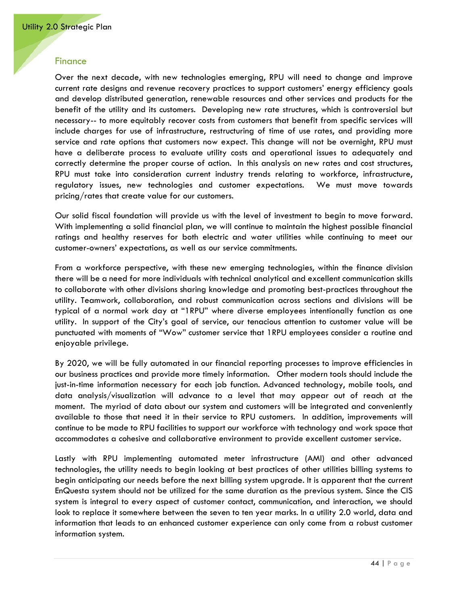#### <span id="page-47-0"></span>**Finance**

Over the next decade, with new technologies emerging, RPU will need to change and improve current rate designs and revenue recovery practices to support customers' energy efficiency goals and develop distributed generation, renewable resources and other services and products for the benefit of the utility and its customers. Developing new rate structures, which is controversial but necessary-- to more equitably recover costs from customers that benefit from specific services will include charges for use of infrastructure, restructuring of time of use rates, and providing more service and rate options that customers now expect. This change will not be overnight, RPU must have a deliberate process to evaluate utility costs and operational issues to adequately and correctly determine the proper course of action. In this analysis on new rates and cost structures, RPU must take into consideration current industry trends relating to workforce, infrastructure, regulatory issues, new technologies and customer expectations. We must move towards pricing/rates that create value for our customers.

Our solid fiscal foundation will provide us with the level of investment to begin to move forward. With implementing a solid financial plan, we will continue to maintain the highest possible financial ratings and healthy reserves for both electric and water utilities while continuing to meet our customer-owners' expectations, as well as our service commitments.

From a workforce perspective, with these new emerging technologies, within the finance division there will be a need for more individuals with technical analytical and excellent communication skills to collaborate with other divisions sharing knowledge and promoting best-practices throughout the utility. Teamwork, collaboration, and robust communication across sections and divisions will be typical of a normal work day at "1RPU" where diverse employees intentionally function as one utility. In support of the City's goal of service, our tenacious attention to customer value will be punctuated with moments of "Wow" customer service that 1RPU employees consider a routine and enjoyable privilege.

By 2020, we will be fully automated in our financial reporting processes to improve efficiencies in our business practices and provide more timely information. Other modern tools should include the just-in-time information necessary for each job function. Advanced technology, mobile tools, and data analysis/visualization will advance to a level that may appear out of reach at the moment. The myriad of data about our system and customers will be integrated and conveniently available to those that need it in their service to RPU customers. In addition, improvements will continue to be made to RPU facilities to support our workforce with technology and work space that accommodates a cohesive and collaborative environment to provide excellent customer service.

Lastly with RPU implementing automated meter infrastructure (AMI) and other advanced technologies, the utility needs to begin looking at best practices of other utilities billing systems to begin anticipating our needs before the next billing system upgrade. It is apparent that the current EnQuesta system should not be utilized for the same duration as the previous system. Since the CIS system is integral to every aspect of customer contact, communication, and interaction, we should look to replace it somewhere between the seven to ten year marks. In a utility 2.0 world, data and information that leads to an enhanced customer experience can only come from a robust customer information system.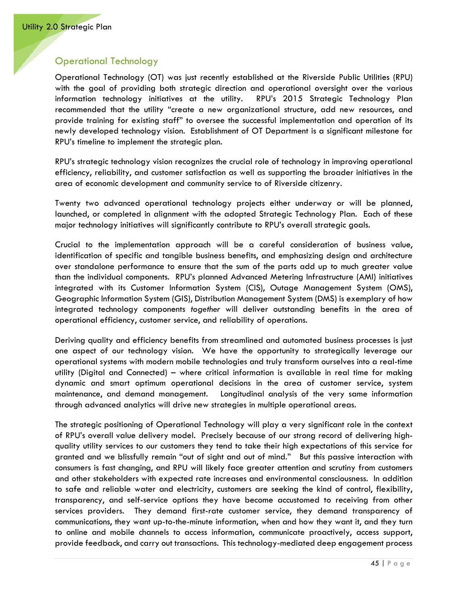## <span id="page-48-0"></span>Operational Technology

Operational Technology (OT) was just recently established at the Riverside Public Utilities (RPU) with the goal of providing both strategic direction and operational oversight over the various information technology initiatives at the utility. RPU's 2015 Strategic Technology Plan recommended that the utility "create a new organizational structure, add new resources, and provide training for existing staff" to oversee the successful implementation and operation of its newly developed technology vision. Establishment of OT Department is a significant milestone for RPU's timeline to implement the strategic plan.

RPU's strategic technology vision recognizes the crucial role of technology in improving operational efficiency, reliability, and customer satisfaction as well as supporting the broader initiatives in the area of economic development and community service to of Riverside citizenry.

Twenty two advanced operational technology projects either underway or will be planned, launched, or completed in alignment with the adopted Strategic Technology Plan. Each of these major technology initiatives will significantly contribute to RPU's overall strategic goals.

Crucial to the implementation approach will be a careful consideration of business value, identification of specific and tangible business benefits, and emphasizing design and architecture over standalone performance to ensure that the sum of the parts add up to much greater value than the individual components. RPU's planned Advanced Metering Infrastructure (AMI) initiatives integrated with its Customer Information System (CIS), Outage Management System (OMS), Geographic Information System (GIS), Distribution Management System (DMS) is exemplary of how integrated technology components *together* will deliver outstanding benefits in the area of operational efficiency, customer service, and reliability of operations.

Deriving quality and efficiency benefits from streamlined and automated business processes is just one aspect of our technology vision. We have the opportunity to strategically leverage our operational systems with modern mobile technologies and truly transform ourselves into a real-time utility (Digital and Connected) – where critical information is available in real time for making dynamic and smart optimum operational decisions in the area of customer service, system maintenance, and demand management. Longitudinal analysis of the very same information through advanced analytics will drive new strategies in multiple operational areas.

The strategic positioning of Operational Technology will play a very significant role in the context of RPU's overall value delivery model. Precisely because of our strong record of delivering highquality utility services to our customers they tend to take their high expectations of this service for granted and we blissfully remain "out of sight and out of mind." But this passive interaction with consumers is fast changing, and RPU will likely face greater attention and scrutiny from customers and other stakeholders with expected rate increases and environmental consciousness. In addition to safe and reliable water and electricity, customers are seeking the kind of control, flexibility, transparency, and self-service options they have become accustomed to receiving from other services providers. They demand first-rate customer service, they demand transparency of communications, they want up-to-the-minute information, when and how they want it, and they turn to online and mobile channels to access information, communicate proactively, access support, provide feedback, and carry out transactions. This technology-mediated deep engagement process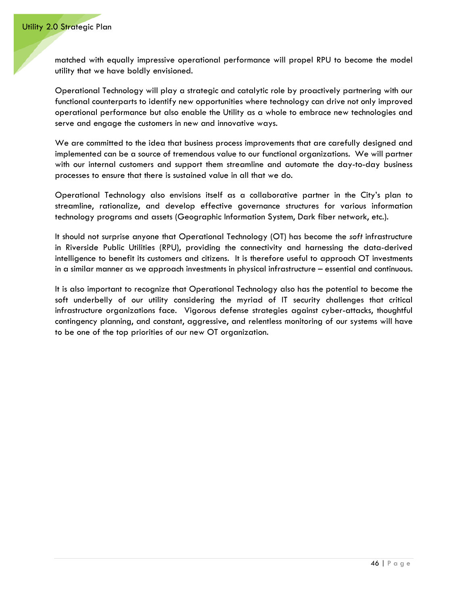matched with equally impressive operational performance will propel RPU to become the model utility that we have boldly envisioned.

Operational Technology will play a strategic and catalytic role by proactively partnering with our functional counterparts to identify new opportunities where technology can drive not only improved operational performance but also enable the Utility as a whole to embrace new technologies and serve and engage the customers in new and innovative ways.

We are committed to the idea that business process improvements that are carefully designed and implemented can be a source of tremendous value to our functional organizations. We will partner with our internal customers and support them streamline and automate the day-to-day business processes to ensure that there is sustained value in all that we do.

Operational Technology also envisions itself as a collaborative partner in the City's plan to streamline, rationalize, and develop effective governance structures for various information technology programs and assets (Geographic Information System, Dark fiber network, etc.).

It should not surprise anyone that Operational Technology (OT) has become the *soft* infrastructure in Riverside Public Utilities (RPU), providing the connectivity and harnessing the data-derived intelligence to benefit its customers and citizens. It is therefore useful to approach OT investments in a similar manner as we approach investments in physical infrastructure – essential and continuous.

It is also important to recognize that Operational Technology also has the potential to become the soft underbelly of our utility considering the myriad of IT security challenges that critical infrastructure organizations face. Vigorous defense strategies against cyber-attacks, thoughtful contingency planning, and constant, aggressive, and relentless monitoring of our systems will have to be one of the top priorities of our new OT organization.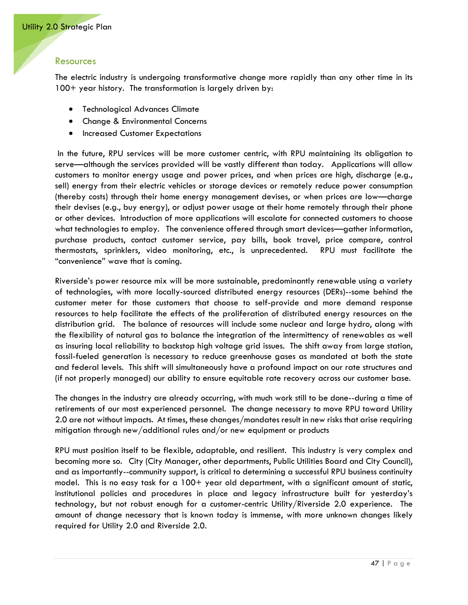#### <span id="page-50-0"></span>Resources

The electric industry is undergoing transformative change more rapidly than any other time in its 100+ year history. The transformation is largely driven by:

- Technological Advances Climate
- Change & Environmental Concerns
- Increased Customer Expectations

In the future, RPU services will be more customer centric, with RPU maintaining its obligation to serve—although the services provided will be vastly different than today. Applications will allow customers to monitor energy usage and power prices, and when prices are high, discharge (e.g., sell) energy from their electric vehicles or storage devices or remotely reduce power consumption (thereby costs) through their home energy management devises, or when prices are low—charge their devises (e.g., buy energy), or adjust power usage at their home remotely through their phone or other devices. Introduction of more applications will escalate for connected customers to choose what technologies to employ. The convenience offered through smart devices—gather information, purchase products, contact customer service, pay bills, book travel, price compare, control thermostats, sprinklers, video monitoring, etc., is unprecedented. RPU must facilitate the "convenience" wave that is coming.

Riverside's power resource mix will be more sustainable, predominantly renewable using a variety of technologies, with more locally-sourced distributed energy resources (DERs)--some behind the customer meter for those customers that choose to self-provide and more demand response resources to help facilitate the effects of the proliferation of distributed energy resources on the distribution grid. The balance of resources will include some nuclear and large hydro, along with the flexibility of natural gas to balance the integration of the intermittency of renewables as well as insuring local reliability to backstop high voltage grid issues. The shift away from large station, fossil-fueled generation is necessary to reduce greenhouse gases as mandated at both the state and federal levels. This shift will simultaneously have a profound impact on our rate structures and (if not properly managed) our ability to ensure equitable rate recovery across our customer base.

The changes in the industry are already occurring, with much work still to be done--during a time of retirements of our most experienced personnel. The change necessary to move RPU toward Utility 2.0 are not without impacts. At times, these changes/mandates result in new risks that arise requiring mitigation through new/additional rules and/or new equipment or products

RPU must position itself to be flexible, adaptable, and resilient. This industry is very complex and becoming more so. City (City Manager, other departments, Public Utilities Board and City Council), and as importantly--community support, is critical to determining a successful RPU business continuity model. This is no easy task for a 100+ year old department, with a significant amount of static, institutional policies and procedures in place and legacy infrastructure built for yesterday's technology, but not robust enough for a customer-centric Utility/Riverside 2.0 experience. The amount of change necessary that is known today is immense, with more unknown changes likely required for Utility 2.0 and Riverside 2.0.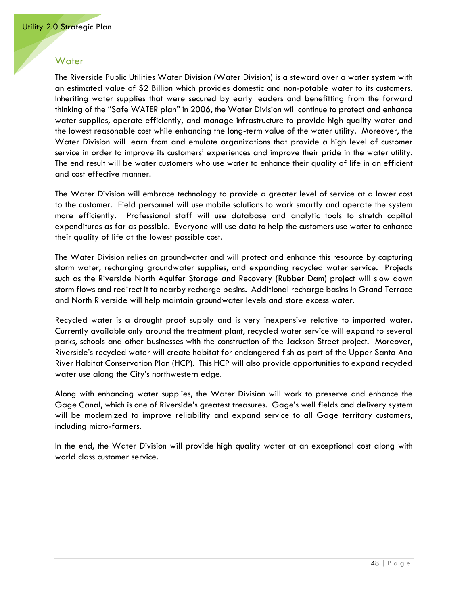#### <span id="page-51-0"></span>**Water**

The Riverside Public Utilities Water Division (Water Division) is a steward over a water system with an estimated value of \$2 Billion which provides domestic and non-potable water to its customers. Inheriting water supplies that were secured by early leaders and benefitting from the forward thinking of the "Safe WATER plan" in 2006, the Water Division will continue to protect and enhance water supplies, operate efficiently, and manage infrastructure to provide high quality water and the lowest reasonable cost while enhancing the long-term value of the water utility. Moreover, the Water Division will learn from and emulate organizations that provide a high level of customer service in order to improve its customers' experiences and improve their pride in the water utility. The end result will be water customers who use water to enhance their quality of life in an efficient and cost effective manner.

The Water Division will embrace technology to provide a greater level of service at a lower cost to the customer. Field personnel will use mobile solutions to work smartly and operate the system more efficiently. Professional staff will use database and analytic tools to stretch capital expenditures as far as possible. Everyone will use data to help the customers use water to enhance their quality of life at the lowest possible cost.

The Water Division relies on groundwater and will protect and enhance this resource by capturing storm water, recharging groundwater supplies, and expanding recycled water service. Projects such as the Riverside North Aquifer Storage and Recovery (Rubber Dam) project will slow down storm flows and redirect it to nearby recharge basins. Additional recharge basins in Grand Terrace and North Riverside will help maintain groundwater levels and store excess water.

Recycled water is a drought proof supply and is very inexpensive relative to imported water. Currently available only around the treatment plant, recycled water service will expand to several parks, schools and other businesses with the construction of the Jackson Street project. Moreover, Riverside's recycled water will create habitat for endangered fish as part of the Upper Santa Ana River Habitat Conservation Plan (HCP). This HCP will also provide opportunities to expand recycled water use along the City's northwestern edge.

Along with enhancing water supplies, the Water Division will work to preserve and enhance the Gage Canal, which is one of Riverside's greatest treasures. Gage's well fields and delivery system will be modernized to improve reliability and expand service to all Gage territory customers, including micro-farmers.

In the end, the Water Division will provide high quality water at an exceptional cost along with world class customer service.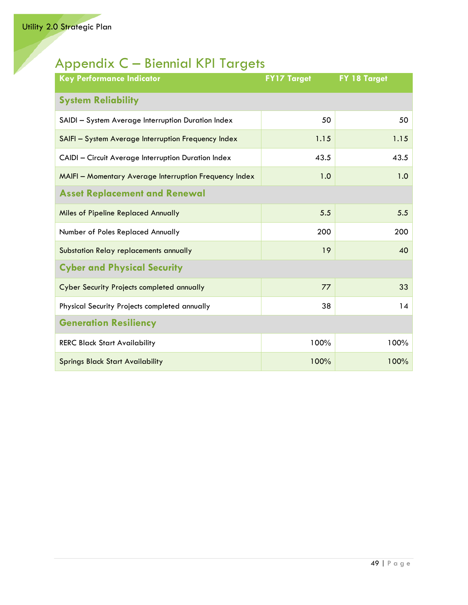# <span id="page-52-0"></span>Appendix C – Biennial KPI Targets

<span id="page-52-4"></span><span id="page-52-3"></span><span id="page-52-2"></span><span id="page-52-1"></span>

| <b>Key Performance Indicator</b>                       | <b>FY17 Target</b> | FY 18 Target |
|--------------------------------------------------------|--------------------|--------------|
| <b>System Reliability</b>                              |                    |              |
| SAIDI - System Average Interruption Duration Index     | 50                 | 50           |
| SAIFI - System Average Interruption Frequency Index    | 1.15               | 1.15         |
| CAIDI - Circuit Average Interruption Duration Index    | 43.5               | 43.5         |
| MAIFI - Momentary Average Interruption Frequency Index | 1.0                | 1.0          |
| <b>Asset Replacement and Renewal</b>                   |                    |              |
| <b>Miles of Pipeline Replaced Annually</b>             | 5.5                | 5.5          |
| Number of Poles Replaced Annually                      | 200                | 200          |
| Substation Relay replacements annually                 | 19                 | 40           |
| <b>Cyber and Physical Security</b>                     |                    |              |
| <b>Cyber Security Projects completed annually</b>      | 77                 | 33           |
| Physical Security Projects completed annually          | 38                 | 14           |
| <b>Generation Resiliency</b>                           |                    |              |
| <b>RERC Black Start Availability</b>                   | 100%               | 100%         |
| <b>Springs Black Start Availability</b>                | 100%               | 100%         |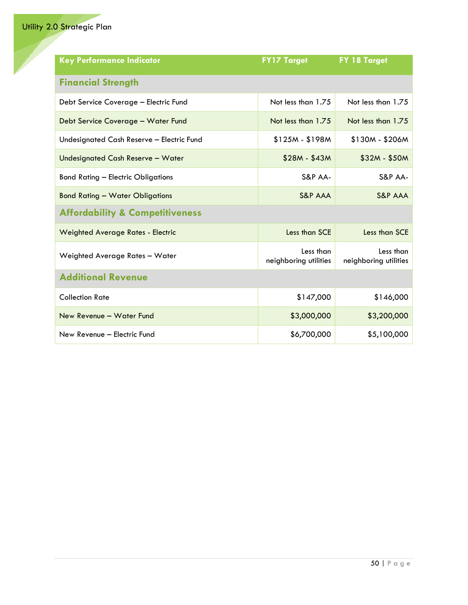<span id="page-53-2"></span><span id="page-53-1"></span><span id="page-53-0"></span>

| <b>Key Performance Indicator</b>           | <b>FY17 Target</b>                 | FY 18 Target                       |
|--------------------------------------------|------------------------------------|------------------------------------|
| <b>Financial Strength</b>                  |                                    |                                    |
| Debt Service Coverage - Electric Fund      | Not less than 1.75                 | Not less than 1.75                 |
| Debt Service Coverage - Water Fund         | Not less than 1.75                 | Not less than 1.75                 |
| Undesignated Cash Reserve - Electric Fund  | $$125M - $198M$                    | $$130M - $206M$                    |
| Undesignated Cash Reserve - Water          | $$28M - $43M$                      | $$32M - $50M$                      |
| <b>Bond Rating - Electric Obligations</b>  | S&P AA-                            | S&P AA-                            |
| <b>Bond Rating - Water Obligations</b>     | <b>S&amp;P AAA</b>                 | <b>S&amp;P AAA</b>                 |
| <b>Affordability &amp; Competitiveness</b> |                                    |                                    |
| <b>Weighted Average Rates - Electric</b>   | Less than SCE                      | Less than SCE                      |
| Weighted Average Rates - Water             | Less than<br>neighboring utilities | Less than<br>neighboring utilities |
| <b>Additional Revenue</b>                  |                                    |                                    |
| <b>Collection Rate</b>                     | \$147,000                          | \$146,000                          |
| New Revenue - Water Fund                   | \$3,000,000                        | \$3,200,000                        |
| New Revenue - Electric Fund                | \$6,700,000                        | \$5,100,000                        |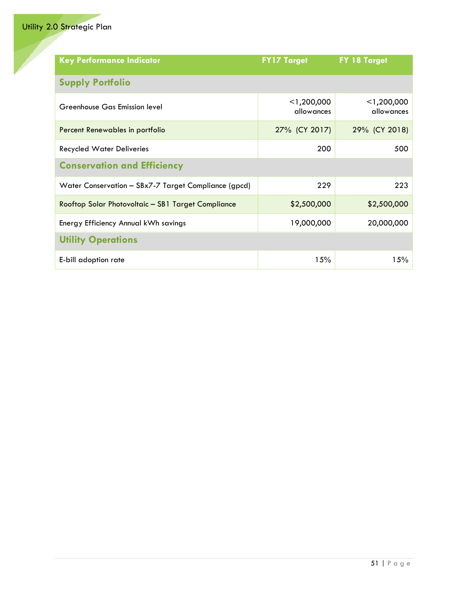<span id="page-54-2"></span><span id="page-54-1"></span><span id="page-54-0"></span>

| <b>Key Performance Indicator</b>                     | <b>FY17 Target</b>          | FY 18 Target                |
|------------------------------------------------------|-----------------------------|-----------------------------|
| <b>Supply Portfolio</b>                              |                             |                             |
| Greenhouse Gas Emission level                        | $<$ 1,200,000<br>allowances | $<$ 1,200,000<br>allowances |
| Percent Renewables in portfolio                      | 27% (CY 2017)               | 29% (CY 2018)               |
| <b>Recycled Water Deliveries</b>                     | 200                         | 500                         |
| <b>Conservation and Efficiency</b>                   |                             |                             |
| Water Conservation - SBx7-7 Target Compliance (gpcd) | 229                         | 223                         |
| Rooftop Solar Photovoltaic - SB1 Target Compliance   | \$2,500,000                 | \$2,500,000                 |
| Energy Efficiency Annual kWh savings                 | 19,000,000                  | 20,000,000                  |
| <b>Utility Operations</b>                            |                             |                             |
| E-bill adoption rate                                 | 15%                         | 15%                         |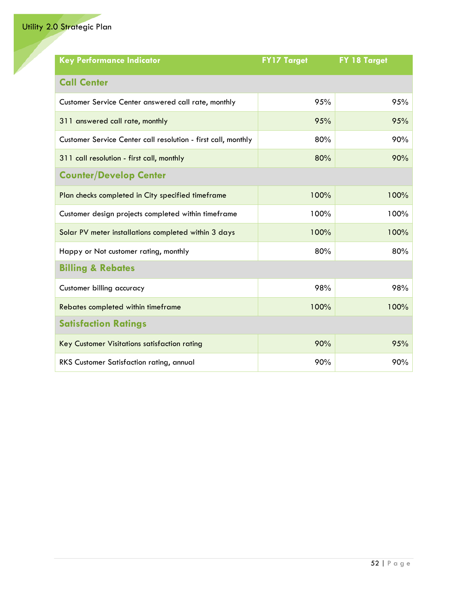<span id="page-55-3"></span><span id="page-55-2"></span><span id="page-55-1"></span><span id="page-55-0"></span>

| <b>Key Performance Indicator</b>                              | <b>FY17 Target</b> | FY 18 Target |
|---------------------------------------------------------------|--------------------|--------------|
| <b>Call Center</b>                                            |                    |              |
| Customer Service Center answered call rate, monthly           | 95%                | 95%          |
| 311 answered call rate, monthly                               | 95%                | 95%          |
| Customer Service Center call resolution - first call, monthly | 80%                | 90%          |
| 311 call resolution - first call, monthly                     | 80%                | 90%          |
| <b>Counter/Develop Center</b>                                 |                    |              |
| Plan checks completed in City specified timeframe             | 100%               | 100%         |
| Customer design projects completed within timeframe           | 100%               | 100%         |
| Solar PV meter installations completed within 3 days          | 100%               | 100%         |
| Happy or Not customer rating, monthly                         | 80%                | 80%          |
| <b>Billing &amp; Rebates</b>                                  |                    |              |
| Customer billing accuracy                                     | 98%                | 98%          |
| Rebates completed within timeframe                            | 100%               | 100%         |
| <b>Satisfaction Ratings</b>                                   |                    |              |
| Key Customer Visitations satisfaction rating                  | 90%                | 95%          |
| RKS Customer Satisfaction rating, annual                      | 90%                | 90%          |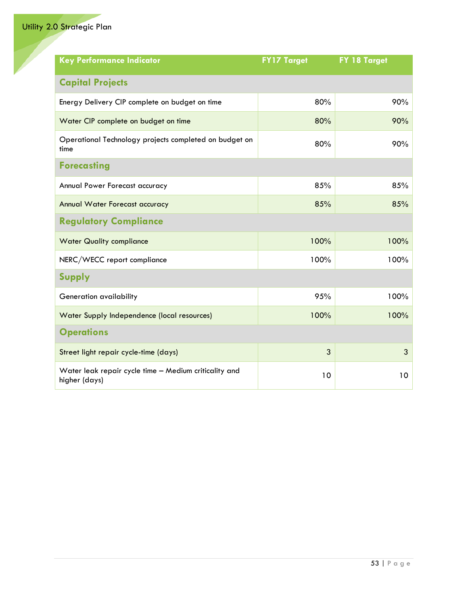<span id="page-56-4"></span><span id="page-56-3"></span><span id="page-56-2"></span><span id="page-56-1"></span><span id="page-56-0"></span>

| <b>Key Performance Indicator</b>                                       | <b>FY17 Target</b> | FY 18 Target |
|------------------------------------------------------------------------|--------------------|--------------|
| <b>Capital Projects</b>                                                |                    |              |
| Energy Delivery CIP complete on budget on time                         | 80%                | 90%          |
| Water CIP complete on budget on time                                   | 80%                | 90%          |
| Operational Technology projects completed on budget on<br>time         | 80%                | 90%          |
| <b>Forecasting</b>                                                     |                    |              |
| Annual Power Forecast accuracy                                         | 85%                | 85%          |
| Annual Water Forecast accuracy                                         | 85%                | 85%          |
| <b>Regulatory Compliance</b>                                           |                    |              |
| <b>Water Quality compliance</b>                                        | 100%               | 100%         |
| NERC/WECC report compliance                                            | 100%               | 100%         |
| <b>Supply</b>                                                          |                    |              |
| Generation availability                                                | 95%                | 100%         |
| Water Supply Independence (local resources)                            | 100%               | 100%         |
| <b>Operations</b>                                                      |                    |              |
| Street light repair cycle-time (days)                                  | 3                  | 3            |
| Water leak repair cycle time - Medium criticality and<br>higher (days) | 10                 | 10           |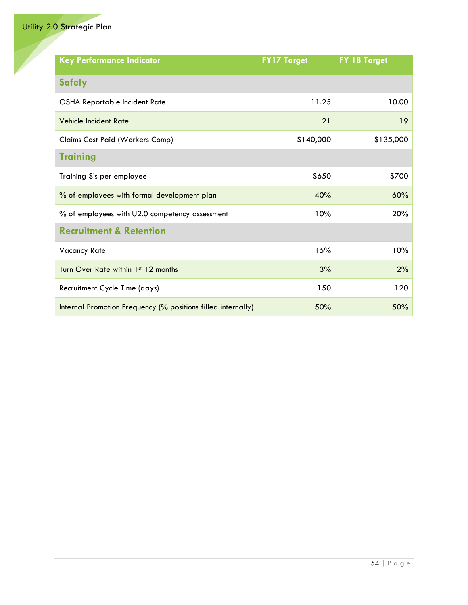<span id="page-57-2"></span><span id="page-57-1"></span><span id="page-57-0"></span>

| <b>Key Performance Indicator</b>                             | <b>FY17 Target</b> | FY 18 Target |
|--------------------------------------------------------------|--------------------|--------------|
| <b>Safety</b>                                                |                    |              |
| OSHA Reportable Incident Rate                                | 11.25              | 10.00        |
| <b>Vehicle Incident Rate</b>                                 | 21                 | 19           |
| Claims Cost Paid (Workers Comp)                              | \$140,000          | \$135,000    |
| <b>Training</b>                                              |                    |              |
| Training \$'s per employee                                   | \$650              | \$700        |
| % of employees with formal development plan                  | 40%                | 60%          |
| % of employees with U2.0 competency assessment               | 10%                | 20%          |
| <b>Recruitment &amp; Retention</b>                           |                    |              |
| <b>Vacancy Rate</b>                                          | 15%                | 10%          |
| Turn Over Rate within 1st 12 months                          | 3%                 | 2%           |
| Recruitment Cycle Time (days)                                | 150                | 120          |
| Internal Promotion Frequency (% positions filled internally) | 50%                | 50%          |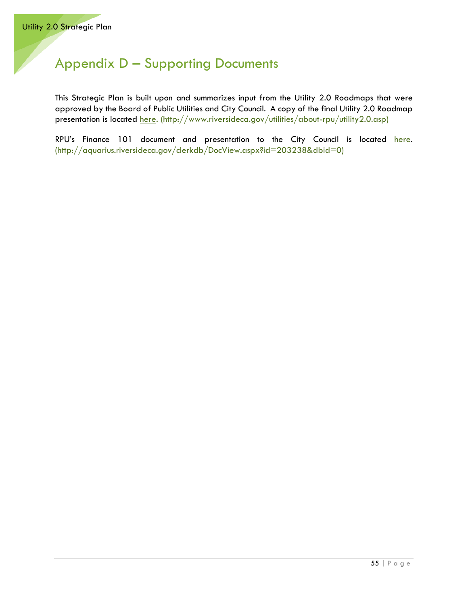# <span id="page-58-0"></span>Appendix D – Supporting Documents

This Strategic Plan is built upon and summarizes input from the Utility 2.0 Roadmaps that were approved by the Board of Public Utilities and City Council. A copy of the final Utility 2.0 Roadmap presentation is located [here.](http://www.riversideca.gov/utilities/about-rpu/utility2.0.asp) (http://www.riversideca.gov/utilities/about-rpu/utility2.0.asp)

RPU's Finance 101 document and presentation to the City Council is located here. (http://aquarius.riversideca.gov/clerkdb/DocView.aspx?id=203238&dbid=0)